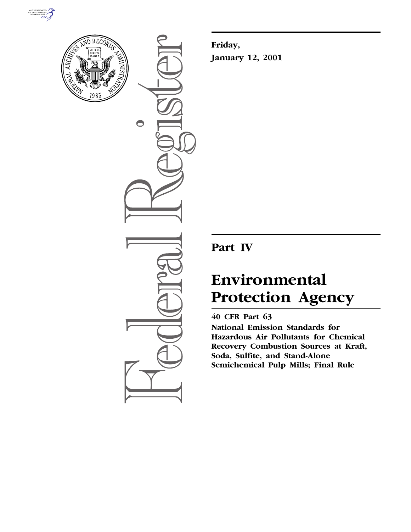



 $\bigcirc$ 

**Friday, January 12, 2001**

# **Part IV**

# **Environmental Protection Agency**

# **40 CFR Part 63**

**National Emission Standards for Hazardous Air Pollutants for Chemical Recovery Combustion Sources at Kraft, Soda, Sulfite, and Stand-Alone Semichemical Pulp Mills; Final Rule**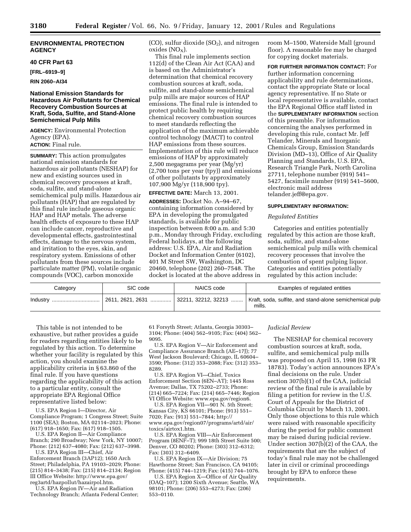# **ENVIRONMENTAL PROTECTION AGENCY**

#### **40 CFR Part 63**

**[FRL–6919–9]**

# **RIN 2060–AI34**

# **National Emission Standards for Hazardous Air Pollutants for Chemical Recovery Combustion Sources at Kraft, Soda, Sulfite, and Stand-Alone Semichemical Pulp Mills**

**AGENCY:** Environmental Protection Agency (EPA). **ACTION:** Final rule.

**SUMMARY:** This action promulgates national emission standards for hazardous air pollutants (NESHAP) for new and existing sources used in chemical recovery processes at kraft, soda, sulfite, and stand-alone semichemical pulp mills. Hazardous air pollutants (HAP) that are regulated by this final rule include gaseous organic HAP and HAP metals. The adverse health effects of exposure to these HAP can include cancer, reproductive and developmental effects, gastrointestinal effects, damage to the nervous system, and irritation to the eyes, skin, and respiratory system. Emissions of other pollutants from these sources include particulate matter (PM), volatile organic compounds (VOC), carbon monoxide

 $(CO)$ , sulfur dioxide  $(SO<sub>2</sub>)$ , and nitrogen  $oxides (NO<sub>x</sub>)$ .

This final rule implements section 112(d) of the Clean Air Act (CAA) and is based on the Administrator's determination that chemical recovery combustion sources at kraft, soda, sulfite, and stand-alone semichemical pulp mills are major sources of HAP emissions. The final rule is intended to protect public health by requiring chemical recovery combustion sources to meet standards reflecting the application of the maximum achievable control technology (MACT) to control HAP emissions from these sources. Implementation of this rule will reduce emissions of HAP by approximately 2,500 megagrams per year (Mg/yr) (2,700 tons per year (tpy)) and emissions of other pollutants by approximately 107,900 Mg/yr (118,900 tpy).

# **EFFECTIVE DATE:** March 13, 2001.

**ADDRESSES:** Docket No. A–94–67, containing information considered by EPA in developing the promulgated standards, is available for public inspection between 8:00 a.m. and 5:30 p.m., Monday through Friday, excluding Federal holidays, at the following address: U.S. EPA, Air and Radiation Docket and Information Center (6102), 401 M Street SW, Washington, DC 20460, telephone (202) 260–7548. The docket is located at the above address in

room M–1500, Waterside Mall (ground floor). A reasonable fee may be charged for copying docket materials.

**FOR FURTHER INFORMATION CONTACT:** For further information concerning applicability and rule determinations, contact the appropriate State or local agency representative. If no State or local representative is available, contact the EPA Regional Office staff listed in the **SUPPLEMENTARY INFORMATION** section of this preamble. For information concerning the analyses performed in developing this rule, contact Mr. Jeff Telander, Minerals and Inorganic Chemicals Group, Emission Standards Division (MD–13), Office of Air Quality Planning and Standards, U.S. EPA, Research Triangle Park, North Carolina 27711, telephone number (919) 541– 5427, facsimile number (919) 541–5600, electronic mail address telander.jeff@epa.gov.

#### **SUPPLEMENTARY INFORMATION:**

#### *Regulated Entities*

Categories and entities potentially regulated by this action are those kraft, soda, sulfite, and stand-alone semichemical pulp mills with chemical recovery processes that involve the combustion of spent pulping liquor. Categories and entities potentially regulated by this action include:

| Category     | SIC code            | NAICS code                  | Examples of regulated entities                                   |
|--------------|---------------------|-----------------------------|------------------------------------------------------------------|
| Industry<br> | $ 2611, 2621, 2631$ | $\vert$ 32211, 32212, 32213 | Kraft, soda, sulfite, and stand-alone semichemical pulp<br>mills |

This table is not intended to be exhaustive, but rather provides a guide for readers regarding entities likely to be regulated by this action. To determine whether your facility is regulated by this action, you should examine the applicability criteria in § 63.860 of the final rule. If you have questions regarding the applicability of this action to a particular entity, consult the appropriate EPA Regional Office representative listed below:

U.S. EPA Region I—Director, Air Compliance Program; 1 Congress Street; Suite 1100 (SEA); Boston, MA 02114–2023; Phone: (617) 918–1650; Fax: (617) 918–1505.

U.S. EPA Region II—Air Compliance Branch; 290 Broadway; New York, NY 10007; Phone: (212) 637–4080; Fax: (212) 637–3998.

U.S. EPA Region III—Chief, Air Enforcement Branch (3AP12); 1650 Arch Street; Philadelphia, PA 19103–2029; Phone: (215) 814–3438; Fax: (215) 814–2134; Region III Office Website: http://www.epa.gov/ reg3artd/hazpollut/hazairpol.htm.

U.S. EPA Region IV—Air and Radiation Technology Branch; Atlanta Federal Center;

61 Forsyth Street; Atlanta, Georgia 30303– 3104; Phone: (404) 562–9105; Fax: (404) 562– 9095.

U.S. EPA Region V—Air Enforcement and Compliance Assurance Branch (AE–17J); 77 West Jackson Boulevard; Chicago, IL 60604– 3590; Phone: (312) 353–2088; Fax: (312) 353– 8289.

U.S. EPA Region VI—Chief, Toxics Enforcement Section (6EN–AT); 1445 Ross Avenue; Dallas, TX 75202–2733; Phone: (214) 665–7224; Fax: (214) 665–7446; Region VI Office Website: www.epa.gov/region6.

U.S. EPA Region VII—901 N. 5th Street; Kansas City, KS 66101; Phone: (913) 551– 7020; Fax: (913) 551–7844; http:// www.epa.gov/region07/programs/artd/air/ toxics/airtox1.htm.

U.S. EPA Region VIII—Air Enforcement Program (8ENF–T); 999 18th Street Suite 500; Denver, CO 80202; Phone: (303) 312–6312; Fax: (303) 312–6409.

U.S. EPA Region IX—Air Division; 75 Hawthorne Street; San Francisco, CA 94105; Phone: (415) 744–1219; Fax: (415) 744–1076.

U.S. EPA Region X—Office of Air Quality (OAQ–107); 1200 Sixth Avenue; Seattle, WA 98101; Phone: (206) 553–4273; Fax: (206) 553–0110.

# *Judicial Review*

The NESHAP for chemical recovery combustion sources at kraft, soda, sulfite, and semichemical pulp mills was proposed on April 15, 1998 (63 FR 18783). Today's action announces EPA's final decisions on the rule. Under section 307(b)(1) of the CAA, judicial review of the final rule is available by filing a petition for review in the U.S. Court of Appeals for the District of Columbia Circuit by March 13, 2001. Only those objections to this rule which were raised with reasonable specificity during the period for public comment may be raised during judicial review. Under section 307(b)(2) of the CAA, the requirements that are the subject of today's final rule may not be challenged later in civil or criminal proceedings brought by EPA to enforce these requirements.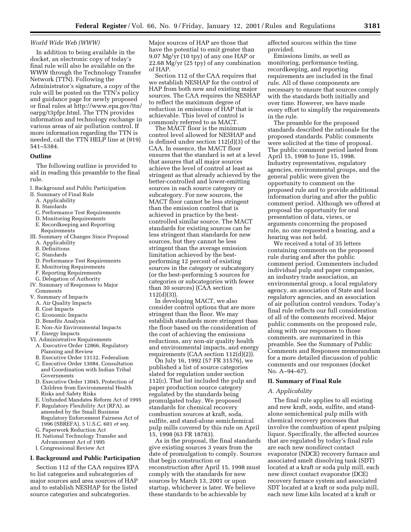#### *World Wide Web (WWW)*

In addition to being available in the docket, an electronic copy of today's final rule will also be available on the WWW through the Technology Transfer Network (TTN). Following the Administrator's signature, a copy of the rule will be posted on the TTN's policy and guidance page for newly proposed or final rules at http://www.epa.gov/ttn/ oarpg/t3pfpr.html. The TTN provides information and technology exchange in various areas of air pollution control. If more information regarding the TTN is needed, call the TTN HELP line at (919) 541–5384.

#### **Outline**

The following outline is provided to aid in reading this preamble to the final rule.

- I. Background and Public Participation
- II. Summary of Final Rule
	- A. Applicability
	- B. Standards
	- C. Performance Test Requirements
	- D. Monitoring Requirements
	- E. Recordkeeping and Reporting
	- Requirements
- III. Summary of Changes Since Proposal A. Applicability
	- B. Definitions
	- C. Standards
	- D. Performance Test Requirements
	- E. Monitoring Requirements
	- F. Reporting Requirements
- G. Delegation of Authority
- IV. Summary of Responses to Major **Comments**
- V. Summary of Impacts
	- A. Air Quality Impacts
	- B. Cost Impacts
	- C. Economic Impacts
	- D. Benefits Analysis
	- E. Non-Air Environmental Impacts F. Energy Impacts
- VI. Administrative Requirements
	- A. Executive Order 12866, Regulatory Planning and Review
	- B. Executive Order 13132, Federalism
	- C. Executive Order 13084, Consultation and Coordination with Indian Tribal Governments
	- D. Executive Order 13045, Protection of Children from Environmental Health Risks and Safety Risks
	- E. Unfunded Mandates Reform Act of 1995
	- F. Regulatory Flexibility Act (RFA), as amended by the Small Business Regulatory Enforcement Fairness Act of 1996 (SBREFA), 5 U.S.C. 601 *et seq.* G. Paperwork Reduction Act
	- H. National Technology Transfer and Advancement Act of 1995
	- I. Congressional Review Act

# **I. Background and Public Participation**

Section 112 of the CAA requires EPA to list categories and subcategories of major sources and area sources of HAP and to establish NESHAP for the listed source categories and subcategories.

Major sources of HAP are those that have the potential to emit greater than 9.07 Mg/yr (10 tpy) of any one HAP or 22.68 Mg/yr (25 tpy) of any combination of HAP.

Section 112 of the CAA requires that we establish NESHAP for the control of HAP from both new and existing major sources. The CAA requires the NESHAP to reflect the maximum degree of reduction in emissions of HAP that is achievable. This level of control is commonly referred to as MACT.

The MACT floor is the minimum control level allowed for NESHAP and is defined under section 112(d)(3) of the CAA. In essence, the MACT floor ensures that the standard is set at a level that assures that all major sources achieve the level of control at least as stringent as that already achieved by the better-controlled and lower-emitting sources in each source category or subcategory. For new sources, the MACT floor cannot be less stringent than the emission control that is achieved in practice by the bestcontrolled similar source. The MACT standards for existing sources can be less stringent than standards for new sources, but they cannot be less stringent than the average emission limitation achieved by the bestperforming 12 percent of existing sources in the category or subcategory (or the best-performing 5 sources for categories or subcategories with fewer than 30 sources) (CAA section 112(d)(3)).

In developing MACT, we also consider control options that are more stringent than the floor. We may establish standards more stringent than the floor based on the consideration of the cost of achieving the emissions reductions, any non-air quality health and environmental impacts, and energy requirements (CAA section 112(d)(2)).

On July 16, 1992 (57 FR 31576), we published a list of source categories slated for regulation under section 112(c). That list included the pulp and paper production source category regulated by the standards being promulgated today. We proposed standards for chemical recovery combustion sources at kraft, soda, sulfite, and stand-alone semichemical pulp mills covered by this rule on April 15, 1998 (63 FR 18783).

As in the proposal, the final standards give existing sources 3 years from the date of promulgation to comply. Sources that begin construction or reconstruction after April 15, 1998 must comply with the standards for new sources by March 13, 2001 or upon startup, whichever is later. We believe these standards to be achievable by

affected sources within the time provided.

Emissions limits, as well as monitoring, performance testing, recordkeeping, and reporting requirements are included in the final rule. All of these components are necessary to ensure that sources comply with the standards both initially and over time. However, we have made every effort to simplify the requirements in the rule.

The preamble for the proposed standards described the rationale for the proposed standards. Public comments were solicited at the time of proposal. The public comment period lasted from April 15, 1998 to June 15, 1998. Industry representatives, regulatory agencies, environmental groups, and the general public were given the opportunity to comment on the proposed rule and to provide additional information during and after the public comment period. Although we offered at proposal the opportunity for oral presentation of data, views, or arguments concerning the proposed rule, no one requested a hearing, and a hearing was not held.

We received a total of 35 letters containing comments on the proposed rule during and after the public comment period. Commenters included individual pulp and paper companies, an industry trade association, an environmental group, a local regulatory agency, an association of State and local regulatory agencies, and an association of air pollution control vendors. Today's final rule reflects our full consideration of all of the comments received. Major public comments on the proposed rule, along with our responses to those comments, are summarized in this preamble. See the Summary of Public Comments and Responses memorandum for a more detailed discussion of public comments and our responses (docket No. A–94–67).

# **II. Summary of Final Rule**

#### *A. Applicability*

The final rule applies to all existing and new kraft, soda, sulfite, and standalone semichemical pulp mills with chemical recovery processes that involve the combustion of spent pulping liquor. Specifically, the affected sources that are regulated by today's final rule are each new nondirect contact evaporator (NDCE) recovery furnace and associated smelt dissolving tank (SDT) located at a kraft or soda pulp mill, each new direct contact evaporator (DCE) recovery furnace system and associated SDT located at a kraft or soda pulp mill, each new lime kiln located at a kraft or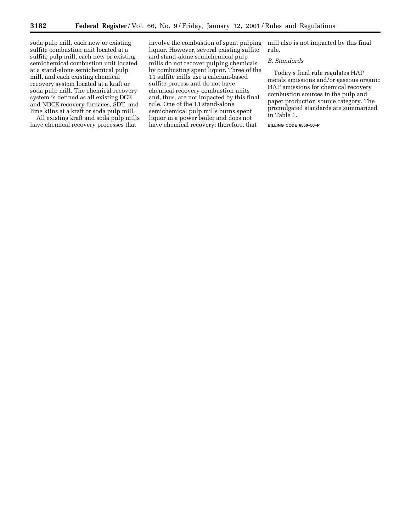soda pulp mill, each new or existing sulfite combustion unit located at a sulfite pulp mill, each new or existing semichemical combustion unit located at a stand-alone semichemical pulp mill, and each existing chemical recovery system located at a kraft or soda pulp mill. The chemical recovery system is defined as all existing DCE and NDCE recovery furnaces, SDT, and lime kilns at a kraft or soda pulp mill.

All existing kraft and soda pulp mills have chemical recovery processes that

involve the combustion of spent pulping liquor. However, several existing sulfite and stand-alone semichemical pulp mills do not recover pulping chemicals by combusting spent liquor. Three of the 11 sulfite mills use a calcium-based sulfite process and do not have chemical recovery combustion units and, thus, are not impacted by this final rule. One of the 13 stand-alone semichemical pulp mills burns spent liquor in a power boiler and does not have chemical recovery; therefore, that

mill also is not impacted by this final rule.

# *B. Standards*

Today's final rule regulates HAP metals emissions and/or gaseous organic HAP emissions for chemical recovery combustion sources in the pulp and paper production source category. The promulgated standards are summarized in Table 1.

# **BILLING CODE 6560–50–P**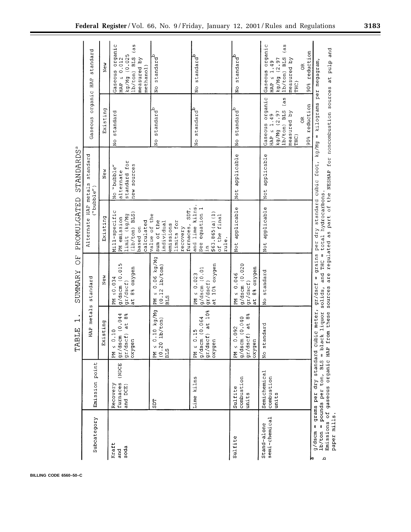|                                                      |                                           | $\overline{\phantom{0}}$<br>TABLE                                                                                                                                                                                                              | $\overline{C}$<br>SUMMARY                                        | PROMULGATED                                                                                          | <b>STANDARDS</b> <sup>a</sup>                              |                                                                                                                                 |                                                                                                                                   |
|------------------------------------------------------|-------------------------------------------|------------------------------------------------------------------------------------------------------------------------------------------------------------------------------------------------------------------------------------------------|------------------------------------------------------------------|------------------------------------------------------------------------------------------------------|------------------------------------------------------------|---------------------------------------------------------------------------------------------------------------------------------|-----------------------------------------------------------------------------------------------------------------------------------|
| Subcategory                                          | Emission point                            | HAP metals                                                                                                                                                                                                                                     | standard                                                         | Alternate HAP metals                                                                                 | standard<br>("bubble")                                     | organic HAP<br>Gaseous                                                                                                          | standard                                                                                                                          |
|                                                      |                                           | Existing                                                                                                                                                                                                                                       | New                                                              | Existing                                                                                             | New                                                        | Existing                                                                                                                        | New                                                                                                                               |
| Kraft<br>soda<br>and                                 | (NDCE<br>furnaces<br>Recovery<br>and DCE) | $\frac{1}{9}r/ds$ cm (0.044<br>$gx/dscf$ ) at 8%<br>0.10<br>oxygen<br>$\geq$ Md                                                                                                                                                                | g/dscm (0.015<br>at 8% oxygen<br>50.034<br>gr/dscf)<br>N<br>E    | Mill-specific<br>$(1b/ton)$ BLS)<br>limit (kg/Mg<br>PM emission<br>calculated<br>based on            | for<br>new sources<br>No "bubble"<br>alternate<br>standard | standard<br>$\frac{0}{2}$                                                                                                       | Gaseous organic<br>(as<br>kg/Mg (0.025<br>$lb/ton)$ BLS<br>measured by<br>HAP $\leq 0.012$<br>methanol)                           |
|                                                      | <b>TGS</b>                                | 0.10 kg/Mg<br>1b/ton<br>$0.2 \cdot 0$<br>$> 1$<br>$> 1$<br><b>BLS</b>                                                                                                                                                                          | kg/Mg<br>(0.12 1b/ton)<br>$PM \le 0.06$<br><b>BLS</b>            | SDT,<br>value of the<br>sum of the<br>limits for<br>individual<br>emissions<br>furnaces,<br>recovery |                                                            | standard <sup>b</sup><br>$\frac{1}{2}$                                                                                          | standard <sup>b</sup><br>$\frac{1}{2}$                                                                                            |
|                                                      | Lime kilns                                | $gr/dscf$ ) at $10\$<br>g/dscm (0.064<br>0.15<br>$\ddot{a}$<br>oxygei<br>$PM \leq$                                                                                                                                                             | at 10% oxygen<br>$g/ds$ cm $(0.01$<br>$PM \le 0.023$<br>gr/dscf) | and lime kilns.<br>equation 1<br>S63.865(a)(1)<br>of the final<br>rule.<br>See<br>$\tilde{H}$        |                                                            | standard <sup>b</sup><br>$\frac{0}{2}$                                                                                          | standard <sup>b</sup><br>$_{\rm N_O}^{\rm o}$                                                                                     |
| Sulfite                                              | combustion<br>Sulfite<br>units            | $gr/dscf$ ) at $88$<br>g/dscm (0.040<br>0.092<br>oxygen<br>$PM \le$                                                                                                                                                                            | g/dscm (0.020<br>at 8% oxygen<br>0.046<br>gr/dscf)<br>$\geq$ Md  | Not applicable                                                                                       | Not applicable                                             | No standard <sup>b</sup>                                                                                                        | No standard                                                                                                                       |
| semi-chemical<br>Stand-alone                         | Semichemical<br>combustion<br>units       | No standard                                                                                                                                                                                                                                    | No standard                                                      | Not applicable                                                                                       | Not applicable                                             | Gaseous organic<br>(a5)<br>90% reduction<br>lb/ton) BLS<br>measured by<br>kg/Mg (2.97<br>HAP $\leq 1.49$<br>$\tilde{e}$<br>THC) | Gaseous organic<br>(as<br>reduction<br>1b/ton) BLS<br>measured by<br>kg/Mg (2.97<br>HAP $\leq 1.49$<br>$\tilde{e}$<br>THC)<br>90% |
| paper mills.<br>Emissions<br>11<br>g/dscm<br>م<br>kđ |                                           | of gaseous organic HAP from these sources are regulated as part of the NESHAP for noncombustion sources at pulp and<br>lb/ton = pounds per ton, BLS = black liquor solids, and THC = total hydrocarbons<br>grams per dry standard cubic meter, | 11<br>gr/dscf                                                    | grains per dry standard cubic foot, kg/Mg = kilograms                                                |                                                            |                                                                                                                                 | per megagram,                                                                                                                     |

**BILLING CODE 6560–50–C**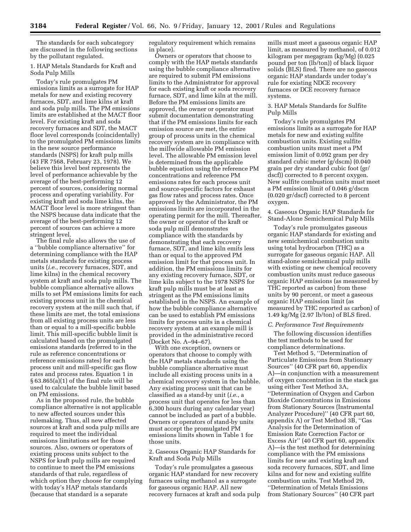The standards for each subcategory are discussed in the following sections by the pollutant regulated.

# 1. HAP Metals Standards for Kraft and Soda Pulp Mills

Today's rule promulgates PM emissions limits as a surrogate for HAP metals for new and existing recovery furnaces, SDT, and lime kilns at kraft and soda pulp mills. The PM emissions limits are established at the MACT floor level. For existing kraft and soda recovery furnaces and SDT, the MACT floor level corresponds (coincidentally) to the promulgated PM emissions limits in the new source performance standards (NSPS) for kraft pulp mills (43 FR 7568, February 23, 1978). We believe this level best represents the level of performance achievable by the average of the best-performing 12 percent of sources, considering normal process and operating variability. For existing kraft and soda lime kilns, the MACT floor level is more stringent than the NSPS because data indicate that the average of the best-performing 12 percent of sources can achieve a more stringent level.

The final rule also allows the use of a ''bubble compliance alternative'' for determining compliance with the HAP metals standards for existing process units (*i.e.*, recovery furnaces, SDT, and lime kilns) in the chemical recovery system at kraft and soda pulp mills. The bubble compliance alternative allows mills to set PM emissions limits for each existing process unit in the chemical recovery system at the mill such that, if these limits are met, the total emissions from all existing process units are less than or equal to a mill-specific bubble limit. This mill-specific bubble limit is calculated based on the promulgated emissions standards (referred to in the rule as reference concentrations or reference emissions rates) for each process unit and mill-specific gas flow rates and process rates. Equation 1 in § 63.865(a)(1) of the final rule will be used to calculate the bubble limit based on PM emissions.

As in the proposed rule, the bubble compliance alternative is not applicable to new affected sources under this rulemaking. Thus, all new affected sources at kraft and soda pulp mills are required to meet the individual emissions limitations set for those sources. Also, owners or operators of existing process units subject to the NSPS for kraft pulp mills are required to continue to meet the PM emissions standards of that rule, regardless of which option they choose for complying with today's HAP metals standards (because that standard is a separate

regulatory requirement which remains in place).

Owners or operators that choose to comply with the HAP metals standards using the bubble compliance alternative are required to submit PM emissions limits to the Administrator for approval for each existing kraft or soda recovery furnace, SDT, and lime kiln at the mill. Before the PM emissions limits are approved, the owner or operator must submit documentation demonstrating that if the PM emissions limits for each emission source are met, the entire group of process units in the chemical recovery system are in compliance with the millwide allowable PM emission level. The allowable PM emission level is determined from the applicable bubble equation using the reference PM concentrations and reference PM emissions rates for each process unit and source-specific factors for exhaust gas flow rates and process rates. Once approved by the Administrator, the PM emissions limits are incorporated in the operating permit for the mill. Thereafter, the owner or operator of the kraft or soda pulp mill demonstrates compliance with the standards by demonstrating that each recovery furnace, SDT, and lime kiln emits less than or equal to the approved PM emission limit for that process unit. In addition, the PM emissions limits for any existing recovery furnace, SDT, or lime kiln subject to the 1978 NSPS for kraft pulp mills must be at least as stringent as the PM emissions limits established in the NSPS. An example of how the bubble compliance alternative can be used to establish PM emissions limits for process units in a chemical recovery system at an example mill is provided in the administrative record (Docket No. A–94–67).

With one exception, owners or operators that choose to comply with the HAP metals standards using the bubble compliance alternative must include all existing process units in a chemical recovery system in the bubble. Any existing process unit that can be classified as a stand-by unit (*i.e.*, a process unit that operates for less than 6,300 hours during any calendar year) cannot be included as part of a bubble. Owners or operators of stand-by units must accept the promulgated PM emissions limits shown in Table 1 for those units.

# 2. Gaseous Organic HAP Standards for Kraft and Soda Pulp Mills

Today's rule promulgates a gaseous organic HAP standard for new recovery furnaces using methanol as a surrogate for gaseous organic HAP. All new recovery furnaces at kraft and soda pulp

mills must meet a gaseous organic HAP limit, as measured by methanol, of 0.012 kilogram per megagram (kg/Mg) (0.025 pound per ton (lb/ton)) of black liquor solids (BLS) fired. There are no gaseous organic HAP standards under today's rule for existing NDCE recovery furnaces or DCE recovery furnace systems.

# 3. HAP Metals Standards for Sulfite Pulp Mills

Today's rule promulgates PM emissions limits as a surrogate for HAP metals for new and existing sulfite combustion units. Existing sulfite combustion units must meet a PM emission limit of 0.092 gram per dry standard cubic meter (g/dscm) (0.040 grain per dry standard cubic foot (gr/ dscf)) corrected to 8 percent oxygen. New sulfite combustion units must meet a PM emission limit of 0.046 g/dscm (0.020 gr/dscf) corrected to 8 percent oxygen.

4. Gaseous Organic HAP Standards for Stand-Alone Semichemical Pulp Mills

Today's rule promulgates gaseous organic HAP standards for existing and new semichemical combustion units using total hydrocarbon (THC) as a surrogate for gaseous organic HAP. All stand-alone semichemical pulp mills with existing or new chemical recovery combustion units must reduce gaseous organic HAP emissions (as measured by THC reported as carbon) from these units by 90 percent, or meet a gaseous organic HAP emission limit (as measured by THC reported as carbon) of 1.49 kg/Mg (2.97 lb/ton) of BLS fired.

# *C. Performance Test Requirements*

The following discussion identifies the test methods to be used for compliance determinations.

Test Method 5, ''Determination of Particulate Emissions from Stationary Sources'' (40 CFR part 60, appendix A)—in conjunction with a measurement of oxygen concentration in the stack gas using either Test Method 3A, ''Determination of Oxygen and Carbon Dioxide Concentrations in Emissions from Stationary Sources (Instrumental Analyzer Procedure)'' (40 CFR part 60, appendix A) or Test Method 3B, ''Gas Analysis for the Determination of Emission Rate Correction Factor or Excess Air'' (40 CFR part 60, appendix A)—is the test method for determining compliance with the PM emissions limits for new and existing kraft and soda recovery furnaces, SDT, and lime kilns and for new and existing sulfite combustion units. Test Method 29, ''Determination of Metals Emissions from Stationary Sources'' (40 CFR part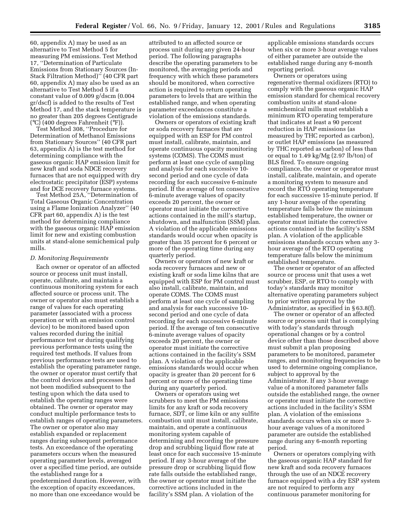60, appendix A) may be used as an alternative to Test Method 5 for measuring PM emissions. Test Method 17, ''Determination of Particulate Emissions from Stationary Sources (In-Stack Filtration Method)'' (40 CFR part 60, appendix A) may also be used as an alternative to Test Method 5 if a constant value of 0.009 g/dscm (0.004 gr/dscf) is added to the results of Test Method 17, and the stack temperature is no greater than 205 degrees Centigrade (°C) (400 degrees Fahrenheit (°F)).

Test Method 308, ''Procedure for Determination of Methanol Emissions from Stationary Sources'' (40 CFR part 63, appendix A) is the test method for determining compliance with the gaseous organic HAP emission limit for new kraft and soda NDCE recovery furnaces that are not equipped with dry electrostatic precipitator (ESP) systems and for DCE recovery furnace systems.

Test Method 25A, ''Determination of Total Gaseous Organic Concentration using a Flame Ionization Analyzer'' (40 CFR part 60, appendix A) is the test method for determining compliance with the gaseous organic HAP emission limit for new and existing combustion units at stand-alone semichemical pulp mills.

#### *D. Monitoring Requirements*

Each owner or operator of an affected source or process unit must install, operate, calibrate, and maintain a continuous monitoring system for each affected source or process unit. The owner or operator also must establish a range of values for each operating parameter (associated with a process operation or with an emission control device) to be monitored based upon values recorded during the initial performance test or during qualifying previous performance tests using the required test methods. If values from previous performance tests are used to establish the operating parameter range, the owner or operator must certify that the control devices and processes had not been modified subsequent to the testing upon which the data used to establish the operating ranges were obtained. The owner or operator may conduct multiple performance tests to establish ranges of operating parameters. The owner or operator also may establish expanded or replacement ranges during subsequent performance tests. An exceedance of the operating parameters occurs when the measured operating parameter levels, averaged over a specified time period, are outside the established range for a predetermined duration. However, with the exception of opacity exceedances, no more than one exceedance would be

attributed to an affected source or process unit during any given 24-hour period. The following paragraphs describe the operating parameters to be monitored, the averaging periods and frequency with which these parameters should be monitored, when corrective action is required to return operating parameters to levels that are within the established range, and when operating parameter exceedances constitute a violation of the emissions standards.

Owners or operators of existing kraft or soda recovery furnaces that are equipped with an ESP for PM control must install, calibrate, maintain, and operate continuous opacity monitoring systems (COMS). The COMS must perform at least one cycle of sampling and analysis for each successive 10 second period and one cycle of data recording for each successive 6-minute period. If the average of ten consecutive 6-minute average values of opacity exceeds 20 percent, the owner or operator must initiate the corrective actions contained in the mill's startup, shutdown, and malfunction (SSM) plan. A violation of the applicable emissions standards would occur when opacity is greater than 35 percent for 6 percent or more of the operating time during any quarterly period.

Owners or operators of new kraft or soda recovery furnaces and new or existing kraft or soda lime kilns that are equipped with ESP for PM control must also install, calibrate, maintain, and operate COMS. The COMS must perform at least one cycle of sampling and analysis for each successive 10 second period and one cycle of data recording for each successive 6-minute period. If the average of ten consecutive 6-minute average values of opacity exceeds 20 percent, the owner or operator must initiate the corrective actions contained in the facility's SSM plan. A violation of the applicable emissions standards would occur when opacity is greater than 20 percent for 6 percent or more of the operating time during any quarterly period.

Owners or operators using wet scrubbers to meet the PM emissions limits for any kraft or soda recovery furnace, SDT, or lime kiln or any sulfite combustion unit must install, calibrate, maintain, and operate a continuous monitoring system capable of determining and recording the pressure drop and scrubbing liquid flow rate at least once for each successive 15-minute period. If any 3-hour average of the pressure drop or scrubbing liquid flow rate falls outside the established range, the owner or operator must initiate the corrective actions included in the facility's SSM plan. A violation of the

applicable emissions standards occurs when six or more 3-hour average values of either parameter are outside the established range during any 6-month reporting period.

Owners or operators using regenerative thermal oxidizers (RTO) to comply with the gaseous organic HAP emission standard for chemical recovery combustion units at stand-alone semichemical mills must establish a minimum RTO operating temperature that indicates at least a 90 percent reduction in HAP emissions (as measured by THC reported as carbon), or outlet HAP emissions (as measured by THC reported as carbon) of less than or equal to 1.49 kg/Mg (2.97 lb/ton) of BLS fired. To ensure ongoing compliance, the owner or operator must install, calibrate, maintain, and operate a monitoring system to measure and record the RTO operating temperature for each successive 15-minute period. If any 1-hour average of the operating temperature falls below the minimum established temperature, the owner or operator must initiate the corrective actions contained in the facility's SSM plan. A violation of the applicable emissions standards occurs when any 3 hour average of the RTO operating temperature falls below the minimum established temperature.

The owner or operator of an affected source or process unit that uses a wet scrubber, ESP, or RTO to comply with today's standards may monitor alternative operating parameters subject to prior written approval by the Administrator, as specified in § 63.8(f).

The owner or operator of an affected source or process unit that is complying with today's standards through operational changes or by a control device other than those described above must submit a plan proposing parameters to be monitored, parameter ranges, and monitoring frequencies to be used to determine ongoing compliance, subject to approval by the Administrator. If any 3-hour average value of a monitored parameter falls outside the established range, the owner or operator must initiate the corrective actions included in the facility's SSM plan. A violation of the emissions standards occurs when six or more 3 hour average values of a monitored parameter are outside the established range during any 6-month reporting period.

Owners or operators complying with the gaseous organic HAP standard for new kraft and soda recovery furnaces through the use of an NDCE recovery furnace equipped with a dry ESP system are not required to perform any continuous parameter monitoring for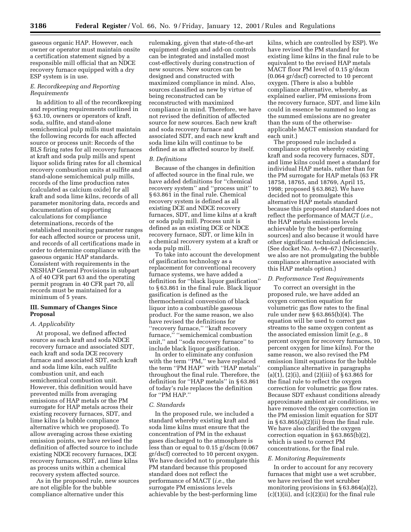gaseous organic HAP. However, each owner or operator must maintain onsite a certification statement signed by a responsible mill official that an NDCE recovery furnace equipped with a dry ESP system is in use.

# *E. Recordkeeping and Reporting Requirements*

In addition to all of the recordkeeping and reporting requirements outlined in § 63.10, owners or operators of kraft, soda, sulfite, and stand-alone semichemical pulp mills must maintain the following records for each affected source or process unit: Records of the BLS firing rates for all recovery furnaces at kraft and soda pulp mills and spent liquor solids firing rates for all chemical recovery combustion units at sulfite and stand-alone semichemical pulp mills, records of the lime production rates (calculated as calcium oxide) for all kraft and soda lime kilns, records of all parameter monitoring data, records and documentation of supporting calculations for compliance determinations, records of the established monitoring parameter ranges for each affected source or process unit, and records of all certifications made in order to determine compliance with the gaseous organic HAP standards. Consistent with requirements in the NESHAP General Provisions in subpart A of 40 CFR part 63 and the operating permit program in 40 CFR part 70, all records must be maintained for a minimum of 5 years.

# **III. Summary of Changes Since Proposal**

# *A. Applicability*

At proposal, we defined affected source as each kraft and soda NDCE recovery furnace and associated SDT, each kraft and soda DCE recovery furnace and associated SDT, each kraft and soda lime kiln, each sulfite combustion unit, and each semichemical combustion unit. However, this definition would have prevented mills from averaging emissions of HAP metals or the PM surrogate for HAP metals across their existing recovery furnaces, SDT, and lime kilns (a bubble compliance alternative which we proposed). To allow averaging across these existing emission points, we have revised the definition of affected source to include existing NDCE recovery furnaces, DCE recovery furnaces, SDT, and lime kilns as process units within a chemical recovery system affected source.

As in the proposed rule, new sources are not eligible for the bubble compliance alternative under this

rulemaking, given that state-of-the-art equipment design and add-on controls can be integrated and installed most cost-effectively during construction of new sources. New sources can be designed and constructed with maximized compliance in mind. Also, sources classified as new by virtue of being reconstructed can be reconstructed with maximized compliance in mind. Therefore, we have not revised the definition of affected source for new sources. Each new kraft and soda recovery furnace and associated SDT, and each new kraft and soda lime kiln will continue to be defined as an affected source by itself.

# *B. Definitions*

Because of the changes in definition of affected source in the final rule, we have added definitions for ''chemical recovery system'' and ''process unit'' to § 63.861 in the final rule. Chemical recovery system is defined as all existing DCE and NDCE recovery furnaces, SDT, and lime kilns at a kraft or soda pulp mill. Process unit is defined as an existing DCE or NDCE recovery furnace, SDT, or lime kiln in a chemical recovery system at a kraft or soda pulp mill.

To take into account the development of gasification technology as a replacement for conventional recovery furnace systems, we have added a definition for ''black liquor gasification'' to § 63.861 in the final rule. Black liquor gasification is defined as the thermochemical conversion of black liquor into a combustible gaseous product. For the same reason, we also have revised the definitions for ''recovery furnace,'' ''kraft recovery furnace,'' ''semichemical combustion unit,'' and ''soda recovery furnace'' to include black liquor gasification.

In order to eliminate any confusion with the term ''PM,'' we have replaced the term ''PM HAP'' with ''HAP metals'' throughout the final rule. Therefore, the definition for ''HAP metals'' in § 63.861 of today's rule replaces the definition for ''PM HAP.''

#### *C. Standards*

In the proposed rule, we included a standard whereby existing kraft and soda lime kilns must ensure that the concentration of PM in the exhaust gases discharged to the atmosphere is less than or equal to 0.15 g/dscm (0.067 gr/dscf) corrected to 10 percent oxygen. We have decided not to promulgate this PM standard because this proposed standard does not reflect the performance of MACT (*i.e.,* the surrogate PM emissions levels achievable by the best-performing lime

kilns, which are controlled by ESP). We have revised the PM standard for existing lime kilns in the final rule to be equivalent to the revised HAP metals MACT floor PM level of 0.15 g/dscm (0.064 gr/dscf) corrected to 10 percent oxygen. (There is also a bubble compliance alternative, whereby, as explained earlier, PM emissions from the recovery furnace, SDT, and lime kiln could in essence be summed so long as the summed emissions are no greater than the sum of the otherwiseapplicable MACT emission standard for each unit.)

The proposed rule included a compliance option whereby existing kraft and soda recovery furnaces, SDT, and lime kilns could meet a standard for individual HAP metals, rather than for the PM surrogate for HAP metals (63 FR 18758, 18765, and 18769, April 15, 1998; proposed § 63.862). We have decided not to promulgate this alternative HAP metals standard because this proposed standard does not reflect the performance of MACT (*i.e.,* the HAP metals emissions levels achievable by the best-performing sources) and also because it would have other significant technical deficiencies. (See docket No. A–94–67.) (Necessarily, we also are not promulgating the bubble compliance alternative associated with this HAP metals option.)

#### *D. Performance Test Requirements*

To correct an oversight in the proposed rule, we have added an oxygen correction equation for volumetric gas flow rates to the final rule under new § 63.865(b)(4). The equation will be used to correct gas streams to the same oxygen content as the associated emission limit (*e.g.,* 8 percent oxygen for recovery furnaces, 10 percent oxygen for lime kilns). For the same reason, we also revised the PM emission limit equations for the bubble compliance alternative in paragraphs  $(a)(1)$ ,  $(2)(i)$ , and  $(2)(iii)$  of § 63.865 for the final rule to reflect the oxygen correction for volumetric gas flow rates. Because SDT exhaust conditions already approximate ambient air conditions, we have removed the oxygen correction in the PM emission limit equation for SDT in  $§ 63.865(a)(2)(ii)$  from the final rule. We have also clarified the oxygen correction equation in § 63.865(b)(2), which is used to correct PM concentrations, for the final rule.

#### *E. Monitoring Requirements*

In order to account for any recovery furnaces that might use a wet scrubber, we have revised the wet scrubber monitoring provisions in  $\S 63.864(a)(2)$ ,  $(c)(1)(ii)$ , and  $(c)(2)(ii)$  for the final rule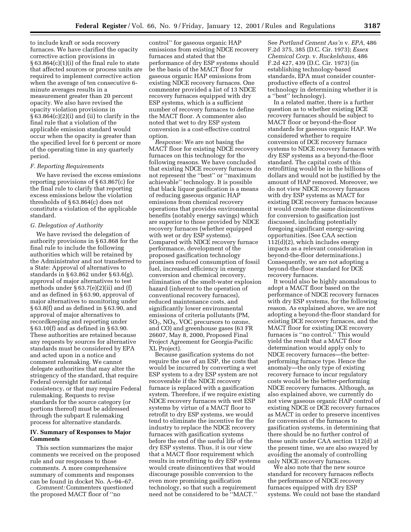to include kraft or soda recovery furnaces. We have clarified the opacity corrective action provisions in § 63.864(c)(1)(i) of the final rule to state that affected sources or process units are required to implement corrective action when the average of ten consecutive 6 minute averages results in a measurement greater than 20 percent opacity. We also have revised the opacity violation provisions in  $\S 63.864(c)(2)(i)$  and (ii) to clarify in the final rule that a violation of the applicable emission standard would occur when the opacity is greater than the specified level for 6 percent or more of the operating time in any quarterly period.

# *F. Reporting Requirements*

We have revised the excess emissions reporting provisions of § 63.867(c) for the final rule to clarify that reporting excess emissions below the violation thresholds of § 63.864(c) does not constitute a violation of the applicable standard.

# *G. Delegation of Authority*

We have revised the delegation of authority provisions in § 63.868 for the final rule to include the following authorities which will be retained by the Administrator and not transferred to a State: Approval of alternatives to standards in § 63.862 under § 63.6(g), approval of major alternatives to test methods under  $\S 63.7(e)(2)(ii)$  and  $(f)$ and as defined in § 63.90, approval of major alternatives to monitoring under § 63.8(f) and as defined in § 63.90, and approval of major alternatives to recordkeeping and reporting under § 63.10(f) and as defined in § 63.90. These authorities are retained because any requests by sources for alternative standards must be considered by EPA and acted upon in a notice and comment rulemaking. We cannot delegate authorities that may alter the stringency of the standard, that require Federal oversight for national consistency, or that may require Federal rulemaking. Requests to revise standards for the source category (or portions thereof) must be addressed through the subpart E rulemaking process for alternative standards.

# **IV. Summary of Responses to Major Comments**

This section summarizes the major comments we received on the proposed rule and our responses to those comments. A more comprehensive summary of comments and responses can be found in docket No. A–94–67. *Comment:* Commenters questioned

the proposed MACT floor of ''no

control'' for gaseous organic HAP emissions from existing NDCE recovery furnaces and stated that the performance of dry ESP systems should be the basis of the MACT floor for gaseous organic HAP emissions from existing NDCE recovery furnaces. One commenter provided a list of 13 NDCE recovery furnaces equipped with dry ESP systems, which is a sufficient number of recovery furnaces to define the MACT floor. A commenter also noted that wet to dry ESP system conversion is a cost-effective control option.

*Response:* We are not basing the MACT floor for existing NDCE recovery furnaces on this technology for the following reasons. We have concluded that existing NDCE recovery furnaces do not represent the ''best'' or ''maximum achievable'' technology. It is possible that black liquor gasification is a means of reducing gaseous organic HAP emissions from chemical recovery operations that provides environmental benefits (notably energy savings) which are superior to those provided by NDCE recovery furnaces (whether equipped with wet or dry ESP systems). Compared with NDCE recovery furnace performance, development of the proposed gasification technology promises reduced consumption of fossil fuel, increased efficiency in energy conversion and chemical recovery, elimination of the smelt-water explosion hazard (inherent to the operation of conventional recovery furnaces), reduced maintenance costs, and significantly lower environmental emissions of criteria pollutants (PM,  $SO<sub>2</sub>$ , NO<sub>X</sub>, VOC precursors to ozone, and CO) and greenhouse gases (63 FR 26607, May 8, 2000, Proposed Final Project Agreement for Georgia-Pacific XL Project).

Because gasification systems do not require the use of an ESP, the costs that would be incurred by converting a wet ESP system to a dry ESP system are not recoverable if the NDCE recovery furnace is replaced with a gasification system. Therefore, if we require existing NDCE recovery furnaces with wet ESP systems by virtue of a MACT floor to retrofit to dry ESP systems, we would tend to eliminate the incentive for the industry to replace the NDCE recovery furnaces with gasification systems before the end of the useful life of the dry ESP systems. Thus, it is our view that a MACT floor requirement which results in retrofitting to dry ESP systems would create disincentives that would discourage possible conversion to the even more promising gasification technology, so that such a requirement need not be considered to be ''MACT.''

See *Portland Cement Ass'n* v. *EPA,* 486 F.2d 375, 385 (D.C. Cir. 1973); *Essex Chemical Corp.* v. *Ruckelshaus,* 486 F.2d 427, 439 (D.C. Cir. 1973) (in establishing technology-based standards, EPA must consider counterproductive effects of a control technology in determining whether it is a ''best'' technology).

In a related matter, there is a further question as to whether existing DCE recovery furnaces should be subject to MACT floor or beyond-the-floor standards for gaseous organic HAP. We considered whether to require conversion of DCE recovery furnace systems to NDCE recovery furnaces with dry ESP systems as a beyond-the-floor standard. The capital costs of this retrofitting would be in the billions of dollars and would not be justified by the amount of HAP removed. Moreover, we do not view NDCE recovery furnaces with dry ESP systems as MACT for existing DCE recovery furnaces because it would create the same disincentives for conversion to gasification just discussed, including potentially foregoing significant energy-saving opportunities. (See CAA section 112(d)(2), which includes energy impacts as a relevant consideration in beyond-the-floor determinations.) Consequently, we are not adopting a beyond-the-floor standard for DCE recovery furnaces.

It would also be highly anomalous to adopt a MACT floor based on the performance of NDCE recovery furnaces with dry ESP systems, for the following reason. As explained above, we are not adopting a beyond-the-floor standard for existing DCE recovery furnaces, and the MACT floor for existing DCE recovery furnaces is ''no control.'' This would yield the result that a MACT floor determination would apply only to NDCE recovery furnaces—the betterperforming furnace type. Hence the anomaly—the only type of existing recovery furnace to incur regulatory costs would be the better-performing NDCE recovery furnaces. Although, as also explained above, we currently do not view gaseous organic HAP control of existing NDCE or DCE recovery furnaces as MACT in order to preserve incentives for conversion of the furnaces to gasification systems, in determining that there should be no further control of these units under CAA section 112(d) at the present time, we are also swayed by avoiding the anomaly of controlling only NDCE recovery furnaces.

We also note that the new source standard for recovery furnaces reflects the performance of NDCE recovery furnaces equipped with dry ESP systems. We could not base the standard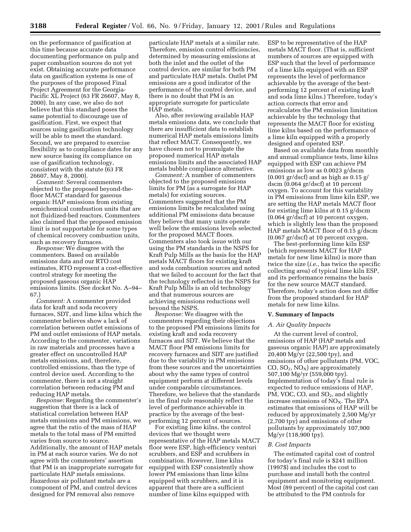on the performance of gasification at this time because accurate data documenting performance on pulp and paper combustion sources do not yet exist. Obtaining accurate performance data on gasification systems is one of the purposes of the proposed Final Project Agreement for the Georgia-Pacific XL Project (63 FR 26607, May 8, 2000). In any case, we also do not believe that this standard poses the same potential to discourage use of gasification. First, we expect that sources using gasification technology will be able to meet the standard. Second, we are prepared to exercise flexibility as to compliance dates for any new source basing its compliance on use of gasification technology, consistent with the statute (63 FR 26607, May 8, 2000).

*Comment:* Several commenters objected to the proposed beyond-thefloor MACT standard for gaseous organic HAP emissions from existing semichemical combustion units that are not fluidized-bed reactors. Commenters also claimed that the proposed emission limit is not supportable for some types of chemical recovery combustion units, such as recovery furnaces.

*Response:* We disagree with the commenters. Based on available emissions data and our RTO cost estimates, RTO represent a cost-effective control strategy for meeting the proposed gaseous organic HAP emissions limits. (See docket No. A–94– 67.)

*Comment:* A commenter provided data for kraft and soda recovery furnaces, SDT, and lime kilns which the commenter believes show a lack of correlation between outlet emissions of PM and outlet emissions of HAP metals. According to the commenter, variations in raw materials and processes have a greater effect on uncontrolled HAP metals emissions, and, therefore, controlled emissions, than the type of control device used. According to the commenter, there is not a straight correlation between reducing PM and reducing HAP metals.

*Response:* Regarding the commenter's suggestion that there is a lack of statistical correlation between HAP metals emissions and PM emissions, we agree that the ratio of the mass of HAP metals to the total mass of PM emitted varies from source to source. Additionally, the amount of HAP metals in PM at each source varies. We do not agree with the commenters' assertion that PM is an inappropriate surrogate for particulate HAP metals emissions. Hazardous air pollutant metals are a component of PM, and control devices designed for PM removal also remove

particulate HAP metals at a similar rate. Therefore, emission control efficiencies, determined by measuring emissions at both the inlet and the outlet of the control device, are similar for both PM and particulate HAP metals. Outlet PM emissions are a good indicator of the performance of the control device, and there is no doubt that PM is an appropriate surrogate for particulate HAP metals.

Also, after reviewing available HAP metals emissions data, we conclude that there are insufficient data to establish numerical HAP metals emissions limits that reflect MACT. Consequently, we have chosen not to promulgate the proposed numerical HAP metals emissions limits and the associated HAP metals bubble compliance alternative.

*Comment:* A number of commenters objected to the proposed emissions limits for PM (as a surrogate for HAP metals) for existing sources. Commenters suggested that the PM emissions limits be recalculated using additional PM emissions data because they believe that many units operate well below the emissions levels selected for the proposed MACT floors. Commenters also took issue with our using the PM standards in the NSPS for Kraft Pulp Mills as the basis for the HAP metals MACT floors for existing kraft and soda combustion sources and noted that we failed to account for the fact that the technology reflected in the NSPS for Kraft Pulp Mills is an old technology and that numerous sources are achieving emissions reductions well beyond the NSPS.

*Response:* We disagree with the commenters regarding their objections to the proposed PM emissions limits for existing kraft and soda recovery furnaces and SDT. We believe that the MACT floor PM emissions limits for recovery furnaces and SDT are justified due to the variability in PM emissions from these sources and the uncertainties about why the same types of control equipment perform at different levels under comparable circumstances. Therefore, we believe that the standards in the final rule reasonably reflect the level of performance achievable in practice by the average of the bestperforming 12 percent of sources.

For existing lime kilns, the control devices that we thought were representative of the HAP metals MACT floor were ESP, high-efficiency venturi scrubbers, and ESP and scrubbers in combination. However, lime kilns equipped with ESP consistently show lower PM emissions than lime kilns equipped with scrubbers, and it is apparent that there are a sufficient number of lime kilns equipped with

ESP to be representative of the HAP metals MACT floor. (That is, sufficient numbers of sources are equipped with ESP such that the level of performance of a lime kiln equipped with an ESP represents the level of performance achievable by the average of the bestperforming 12 percent of existing kraft and soda lime kilns.) Therefore, today's action corrects that error and recalculates the PM emission limitation achievable by the technology that represents the MACT floor for existing lime kilns based on the performance of a lime kiln equipped with a properly designed and operated ESP.

Based on available data from monthly and annual compliance tests, lime kilns equipped with ESP can achieve PM emissions as low as 0.0023 g/dscm  $(0.001 \text{ gr/ds} \cdot \text{er/ds} \cdot \text{er/ds} \cdot \text{er/ds} \cdot \text{er/ds} \cdot \text{er/ds} \cdot \text{er/ds} \cdot \text{er/ds} \cdot \text{er/ds} \cdot \text{er/ds} \cdot \text{er/ds} \cdot \text{er/ds} \cdot \text{er/ds} \cdot \text{er/ds} \cdot \text{er/ds} \cdot \text{er/ds} \cdot \text{er/ds} \cdot \text{er/ds} \cdot \text{er/ds} \cdot \text{er/ds} \cdot \text{er/ds} \cdot \text{er/ds} \cdot \text{er/ds} \cdot \text{er/ds}$ dscm (0.064 gr/dscf) at 10 percent oxygen. To account for this variability in PM emissions from lime kiln ESP, we are setting the HAP metals MACT floor for existing lime kilns at 0.15 g/dscm (0.064 gr/dscf) at 10 percent oxygen, which is slightly less than the proposed HAP metals MACT floor of 0.15 g/dscm (0.067 gr/dscf) at 10 percent oxygen.

The best-performing lime kiln ESP (which represents MACT for HAP metals for new lime kilns) is more than twice the size (*i.e.,* has twice the specific collecting area) of typical lime kiln ESP, and its performance remains the basis for the new source MACT standard. Therefore, today's action does not differ from the proposed standard for HAP metals for new lime kilns.

#### **V. Summary of Impacts**

# *A. Air Quality Impacts*

At the current level of control, emissions of HAP (HAP metals and gaseous organic HAP) are approximately 20,400 Mg/yr (22,500 tpy), and emissions of other pollutants (PM, VOC,  $CO, SO<sub>2</sub>, NO<sub>X</sub>$  are approximately 507,100 Mg/yr (559,000 tpy). Implementation of today's final rule is expected to reduce emissions of HAP, PM, VOC, CO, and SO<sub>2</sub>, and slightly increase emissions of NO<sub>X</sub>. The EPA estimates that emissions of HAP will be reduced by approximately 2,500 Mg/yr (2,700 tpy) and emissions of other pollutants by approximately 107,900 Mg/yr (118,900 tpy).

# *B. Cost Impacts*

The estimated capital cost of control for today's final rule is \$241 million (1997\$) and includes the cost to purchase and install both the control equipment and monitoring equipment. Most (89 percent) of the capital cost can be attributed to the PM controls for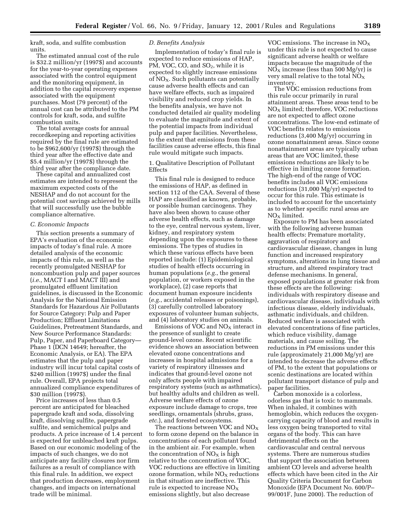kraft, soda, and sulfite combustion units.

The estimated annual cost of the rule is \$32.2 million/yr (1997\$) and accounts for the year-to-year operating expenses associated with the control equipment and the monitoring equipment, in addition to the capital recovery expense associated with the equipment purchases. Most (79 percent) of the annual cost can be attributed to the PM controls for kraft, soda, and sulfite combustion units.

The total average costs for annual recordkeeping and reporting activities required by the final rule are estimated to be \$962,600/yr (1997\$) through the third year after the effective date and \$5.4 million/yr (1997\$) through the third year after the compliance date.

These capital and annualized cost estimates are intended to represent the maximum expected costs of the NESHAP and do not account for the potential cost savings achieved by mills that will successfully use the bubble compliance alternative.

# *C. Economic Impacts*

This section presents a summary of EPA's evaluation of the economic impacts of today's final rule. A more detailed analysis of the economic impacts of this rule, as well as the recently promulgated NESHAP for noncombustion pulp and paper sources (*i.e.,* MACT I and MACT III) and promulgated effluent limitation guidelines, is discussed in the Economic Analysis for the National Emission Standards for Hazardous Air Pollutants for Source Category: Pulp and Paper Production; Effluent Limitations Guidelines, Pretreatment Standards, and New Source Performance Standards: Pulp, Paper, and Paperboard Category— Phase 1 (DCN 14649; hereafter, the Economic Analysis, or EA). The EPA estimates that the pulp and paper industry will incur total capital costs of \$240 million (1997\$) under the final rule. Overall, EPA projects total annualized compliance expenditures of \$30 million (1997\$).

Price increases of less than 0.5 percent are anticipated for bleached papergrade kraft and soda, dissolving kraft, dissolving sulfite, papergrade sulfite, and semichemical pulps and products. A price increase of 1.4 percent is expected for unbleached kraft pulps. Based on our economic modeling of the impacts of such changes, we do not anticipate any facility closures nor firm failures as a result of compliance with this final rule. In addition, we expect that production decreases, employment changes, and impacts on international trade will be minimal.

#### *D. Benefits Analysis*

Implementation of today's final rule is expected to reduce emissions of HAP, PM, VOC, CO, and  $SO<sub>2</sub>$ , while it is expected to slightly increase emissions of  $NO<sub>x</sub>$ . Such pollutants can potentially cause adverse health effects and can have welfare effects, such as impaired visibility and reduced crop yields. In the benefits analysis, we have not conducted detailed air quality modeling to evaluate the magnitude and extent of the potential impacts from individual pulp and paper facilities. Nevertheless, to the extent that emissions from these facilities cause adverse effects, this final rule would mitigate such impacts.

1. Qualitative Description of Pollutant Effects

This final rule is designed to reduce the emissions of HAP, as defined in section 112 of the CAA. Several of these HAP are classified as known, probable, or possible human carcinogens. They have also been shown to cause other adverse health effects, such as damage to the eye, central nervous system, liver, kidney, and respiratory system depending upon the exposures to these emissions. The types of studies in which these various effects have been reported include: (1) Epidemiological studies of health effects occurring in human populations (*e.g.*, the general population, or workers exposed in the workplace), (2) case reports that document human exposure incidents (*e.g.*, accidental releases or poisonings), (3) carefully controlled laboratory exposures of volunteer human subjects, and (4) laboratory studies on animals.

Emissions of VOC and NOX interact in the presence of sunlight to create ground-level ozone. Recent scientific evidence shows an association between elevated ozone concentrations and increases in hospital admissions for a variety of respiratory illnesses and indicates that ground-level ozone not only affects people with impaired respiratory systems (such as asthmatics), but healthy adults and children as well. Adverse welfare effects of ozone exposure include damage to crops, tree seedlings, ornamentals (shrubs, grass, *etc.*), and forested ecosystems.

The reactions between VOC and  $NO<sub>x</sub>$ to form ozone depend on the balance in concentrations of each pollutant found in the ambient air. For example, when the concentration of  $NO<sub>X</sub>$  is high relative to the concentration of VOC, VOC reductions are effective in limiting ozone formation, while  $NO<sub>X</sub>$  reductions in that situation are ineffective. This rule is expected to increase  $NO<sub>x</sub>$ emissions slightly, but also decrease

VOC emissions. The increase in  $NO<sub>x</sub>$ under this rule is not expected to cause significant adverse health or welfare impacts because the magnitude of the  $NO<sub>x</sub>$  increase (less than 500 Mg/yr) is very small relative to the total  $NO<sub>x</sub>$ inventory.

The VOC emission reductions from this rule occur primarily in rural attainment areas. These areas tend to be  $NO<sub>x</sub>$  limited; therefore, VOC reductions are not expected to affect ozone concentrations. The low-end estimate of VOC benefits relates to emissions reductions (3,400 Mg/yr) occurring in ozone nonattainment areas. Since ozone nonattainment areas are typically urban areas that are VOC limited, these emissions reductions are likely to be effective in limiting ozone formation. The high-end of the range of VOC benefits includes all VOC emissions reductions (31,000 Mg/yr) expected to occur for this rule. This estimate is included to account for the uncertainty as to whether specific rural areas are  $NO<sub>x</sub>$  limited.

Exposure to PM has been associated with the following adverse human health effects: Premature mortality, aggravation of respiratory and cardiovascular disease, changes in lung function and increased respiratory symptoms, alterations in lung tissue and structure, and altered respiratory tract defense mechanisms. In general, exposed populations at greater risk from these effects are the following: individuals with respiratory disease and cardiovascular disease, individuals with infectious disease, elderly individuals, asthmatic individuals, and children. Reduced welfare is associated with elevated concentrations of fine particles, which reduce visibility, damage materials, and cause soiling. The reductions in PM emissions under this rule (approximately 21,000 Mg/yr) are intended to decrease the adverse effects of PM, to the extent that populations or scenic destinations are located within pollutant transport distance of pulp and paper facilities.

Carbon monoxide is a colorless, odorless gas that is toxic to mammals. When inhaled, it combines with hemoglobin, which reduces the oxygencarrying capacity of blood and results in less oxygen being transported to vital organs of the body. This can have detrimental effects on the cardiovascular and central nervous systems. There are numerous studies that support the association between ambient CO levels and adverse health effects which have been cited in the Air Quality Criteria Document for Carbon Monoxide (EPA Document No. 600/P– 99/001F, June 2000). The reduction of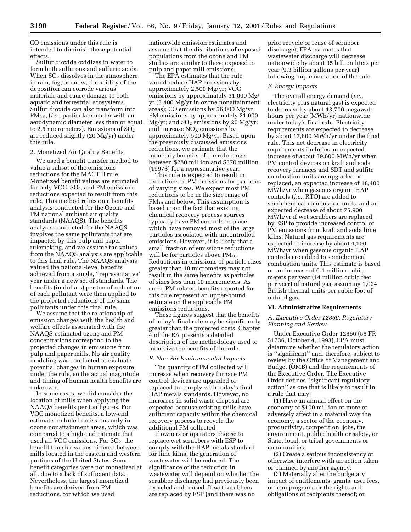CO emissions under this rule is intended to diminish these potential effects.

Sulfur dioxide oxidizes in water to form both sulfurous and sulfuric acids. When  $SO<sub>2</sub>$  dissolves in the atmosphere in rain, fog, or snow, the acidity of the deposition can corrode various materials and cause damage to both aquatic and terrestrial ecosystems. Sulfur dioxide can also transform into PM2.5, (*i.e.*, particulate matter with an aerodynamic diameter less than or equal to 2.5 micrometers). Emissions of  $SO<sub>2</sub>$ are reduced slightly (20 Mg/yr) under this rule.

# 2. Monetized Air Quality Benefits

We used a benefit transfer method to value a subset of the emissions reductions for the MACT II rule. Monetized benefit values are estimated for only VOC,  $SO<sub>2</sub>$ , and PM emissions reductions expected to result from this rule. This method relies on a benefits analysis conducted for the Ozone and PM national ambient air quality standards (NAAQS). The benefits analysis conducted for the NAAQS involves the same pollutants that are impacted by this pulp and paper rulemaking, and we assume the values from the NAAQS analysis are applicable to this final rule. The NAAQS analysis valued the national-level benefits achieved from a single, ''representative'' year under a new set of standards. The benefits (in dollars) per ton of reduction of each pollutant were then applied to the projected reductions of the same pollutants under this final rule.

We assume that the relationship of emission changes with the health and welfare effects associated with the NAAQS-estimated ozone and PM concentrations correspond to the projected changes in emissions from pulp and paper mills. No air quality modeling was conducted to evaluate potential changes in human exposure under the rule, so the actual magnitude and timing of human health benefits are unknown.

In some cases, we did consider the location of mills when applying the NAAQS benefits per ton figures. For VOC monetized benefits, a low-end estimate included emissions only in ozone nonattainment areas, which was compared to a high-end estimate that used all VOC emissions. For  $SO<sub>2</sub>$ , the benefit transfer values differed between mills located in the eastern and western portions of the United States. Some benefit categories were not monetized at all, due to a lack of sufficient data. Nevertheless, the largest monetized benefits are derived from PM reductions, for which we used

nationwide emission estimates and assume that the distributions of exposed populations from the ozone and PM studies are similar to those exposed to pulp and paper mill emissions.

The EPA estimates that the rule would reduce HAP emissions by approximately 2,500 Mg/yr; VOC emissions by approximately 31,000 Mg/ yr (3,400 Mg/yr in ozone nonattainment areas); CO emissions by 56,000 Mg/yr; PM emissions by approximately 21,000  $Mg/yr$ ; and  $SO<sub>2</sub>$  emissions by 20  $Mg/yr$ ; and increase  $NO<sub>x</sub>$  emissions by approximately 500 Mg/yr. Based upon the previously discussed emissions reductions, we estimate that the monetary benefits of the rule range between \$280 million and \$370 million (1997\$) for a representative year.

This rule is expected to result in reductions in PM emissions for particles of varying sizes. We expect most PM reductions to be in the size range of PM<sub>10</sub> and below. This assumption is based upon the fact that existing chemical recovery process sources typically have PM controls in place which have removed most of the large particles associated with uncontrolled emissions. However, it is likely that a small fraction of emissions reductions will be for particles above  $PM_{10}$ . Reductions in emissions of particle sizes greater than 10 micrometers may not result in the same benefits as particles of sizes less than 10 micrometers. As such, PM-related benefits reported for this rule represent an upper-bound estimate on the applicable PM emissions reductions.

These figures suggest that the benefits of today's final rule may be significantly greater than the projected costs. Chapter 4 of the EA presents a detailed description of the methodology used to monetize the benefits of the rule.

# *E. Non-Air Environmental Impacts*

The quantity of PM collected will increase when recovery furnace PM control devices are upgraded or replaced to comply with today's final HAP metals standards. However, no increases in solid waste disposal are expected because existing mills have sufficient capacity within the chemical recovery process to recycle the additional PM collected.

If owners or operators choose to replace wet scrubbers with ESP to comply with the HAP metals standard for lime kilns, the generation of wastewater will be reduced. The significance of the reduction in wastewater will depend on whether the scrubber discharge had previously been recycled and reused. If wet scrubbers are replaced by ESP (and there was no

prior recycle or reuse of scrubber discharge), EPA estimates that wastewater discharge will decrease nationwide by about 35 billion liters per year (9.3 billion gallons per year) following implementation of the rule.

#### *F. Energy Impacts*

The overall energy demand (*i.e.*, electricity plus natural gas) is expected to decrease by about 13,700 megawatthours per year (MWh/yr) nationwide under today's final rule. Electricity requirements are expected to decrease by about 17,800 MWh/yr under the final rule. This net decrease in electricity requirements includes an expected increase of about 39,600 MWh/yr when PM control devices on kraft and soda recovery furnaces and SDT and sulfite combustion units are upgraded or replaced, an expected increase of 18,400 MWh/yr when gaseous organic HAP controls (*i.e.*, RTO) are added to semichemical combustion units, and an expected decrease of about 75,900 MWh/yr if wet scrubbers are replaced by ESP to provide increased control of PM emissions from kraft and soda lime kilns. Natural gas requirements are expected to increase by about 4,100 MWh/yr when gaseous organic HAP controls are added to semichemical combustion units. This estimate is based on an increase of 0.4 million cubic meters per year (14 million cubic feet per year) of natural gas, assuming 1,024 British thermal units per cubic foot of natural gas.

# **VI. Administrative Requirements**

# *A. Executive Order 12866, Regulatory Planning and Review*

Under Executive Order 12866 (58 FR 51736, October 4, 1993), EPA must determine whether the regulatory action is ''significant'' and, therefore, subject to review by the Office of Management and Budget (OMB) and the requirements of the Executive Order. The Executive Order defines ''significant regulatory action'' as one that is likely to result in a rule that may:

(1) Have an annual effect on the economy of \$100 million or more or adversely affect in a material way the economy, a sector of the economy, productivity, competition, jobs, the environment, public health or safety, or State, local, or tribal governments or communities;

(2) Create a serious inconsistency or otherwise interfere with an action taken or planned by another agency;

(3) Materially alter the budgetary impact of entitlements, grants, user fees, or loan programs or the rights and obligations of recipients thereof; or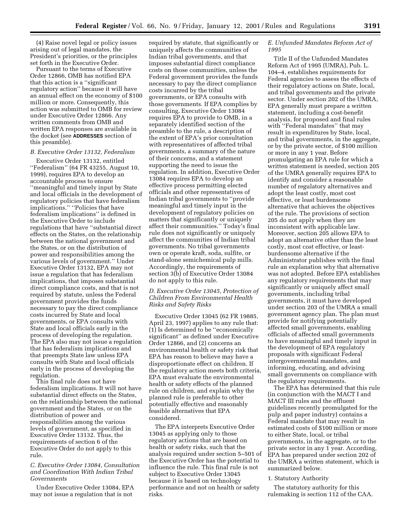(4) Raise novel legal or policy issues arising out of legal mandates, the President's priorities, or the principles set forth in the Executive Order.

Pursuant to the terms of Executive Order 12866, OMB has notified EPA that this action is a ''significant regulatory action'' because it will have an annual effect on the economy of \$100 million or more. Consequently, this action was submitted to OMB for review under Executive Order 12866. Any written comments from OMB and written EPA responses are available in the docket (see **ADDRESSES** section of this preamble).

#### *B. Executive Order 13132, Federalism*

Executive Order 13132, entitled ''Federalism'' (64 FR 43255, August 10, 1999), requires EPA to develop an accountable process to ensure ''meaningful and timely input by State and local officials in the development of regulatory policies that have federalism implications.'' ''Policies that have federalism implications'' is defined in the Executive Order to include regulations that have ''substantial direct effects on the States, on the relationship between the national government and the States, or on the distribution of power and responsibilities among the various levels of government.'' Under Executive Order 13132, EPA may not issue a regulation that has federalism implications, that imposes substantial direct compliance costs, and that is not required by statute, unless the Federal government provides the funds necessary to pay the direct compliance costs incurred by State and local governments, or EPA consults with State and local officials early in the process of developing the regulation. The EPA also may not issue a regulation that has federalism implications and that preempts State law unless EPA consults with State and local officials early in the process of developing the regulation.

This final rule does not have federalism implications. It will not have substantial direct effects on the States, on the relationship between the national government and the States, or on the distribution of power and responsibilities among the various levels of government, as specified in Executive Order 13132. Thus, the requirements of section 6 of the Executive Order do not apply to this rule.

# *C. Executive Order 13084, Consultation and Coordination With Indian Tribal Governments*

Under Executive Order 13084, EPA may not issue a regulation that is not

required by statute, that significantly or uniquely affects the communities of Indian tribal governments, and that imposes substantial direct compliance costs on those communities, unless the Federal government provides the funds necessary to pay the direct compliance costs incurred by the tribal governments, or EPA consults with those governments. If EPA complies by consulting, Executive Order 13084 requires EPA to provide to OMB, in a separately identified section of the preamble to the rule, a description of the extent of EPA's prior consultation with representatives of affected tribal governments, a summary of the nature of their concerns, and a statement supporting the need to issue the regulation. In addition, Executive Order 13084 requires EPA to develop an effective process permitting elected officials and other representatives of Indian tribal governments to ''provide meaningful and timely input in the development of regulatory policies on matters that significantly or uniquely affect their communities.'' Today's final rule does not significantly or uniquely affect the communities of Indian tribal governments. No tribal governments own or operate kraft, soda, sulfite, or stand-alone semichemical pulp mills. Accordingly, the requirements of section 3(b) of Executive Order 13084 do not apply to this rule.

# *D. Executive Order 13045, Protection of Children From Environmental Health Risks and Safety Risks*

Executive Order 13045 (62 FR 19885, April 23, 1997) applies to any rule that: (1) Is determined to be ''economically significant'' as defined under Executive Order 12866, and (2) concerns an environmental health or safety risk that EPA has reason to believe may have a disproportionate effect on children. If the regulatory action meets both criteria, EPA must evaluate the environmental health or safety effects of the planned rule on children, and explain why the planned rule is preferable to other potentially effective and reasonably feasible alternatives that EPA considered.

The EPA interprets Executive Order 13045 as applying only to those regulatory actions that are based on health or safety risks, such that the analysis required under section 5–501 of the Executive Order has the potential to influence the rule. This final rule is not subject to Executive Order 13045 because it is based on technology performance and not on health or safety risks.

# *E. Unfunded Mandates Reform Act of 1995*

Title II of the Unfunded Mandates Reform Act of 1995 (UMRA), Pub. L. 104–4, establishes requirements for Federal agencies to assess the effects of their regulatory actions on State, local, and tribal governments and the private sector. Under section 202 of the UMRA, EPA generally must prepare a written statement, including a cost-benefit analysis, for proposed and final rules with ''Federal mandates'' that may result in expenditures by State, local, and tribal governments, in the aggregate, or by the private sector, of \$100 million or more in any 1 year. Before promulgating an EPA rule for which a written statement is needed, section 205 of the UMRA generally requires EPA to identify and consider a reasonable number of regulatory alternatives and adopt the least costly, most cost effective, or least burdensome alternative that achieves the objectives of the rule. The provisions of section 205 do not apply when they are inconsistent with applicable law. Moreover, section 205 allows EPA to adopt an alternative other than the least costly, most cost effective, or leastburdensome alternative if the Administrator publishes with the final rule an explanation why that alternative was not adopted. Before EPA establishes any regulatory requirements that may significantly or uniquely affect small governments, including tribal governments, it must have developed under section 203 of the UMRA a small government agency plan. The plan must provide for notifying potentially affected small governments, enabling officials of affected small governments to have meaningful and timely input in the development of EPA regulatory proposals with significant Federal intergovernmental mandates, and informing, educating, and advising small governments on compliance with the regulatory requirements.

The EPA has determined that this rule (in conjunction with the MACT I and MACT III rules and the effluent guidelines recently promulgated for the pulp and paper industry) contains a Federal mandate that may result in estimated costs of \$100 million or more to either State, local, or tribal governments, in the aggregate, or to the private sector in any 1 year. According, EPA has prepared under section 202 of the UMRA a written statement, which is summarized below.

#### 1. Statutory Authority

The statutory authority for this rulemaking is section 112 of the CAA.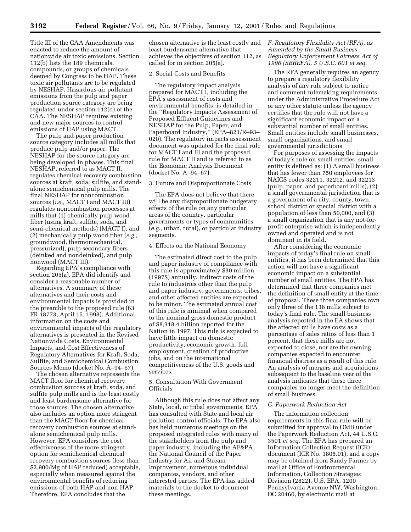Title III of the CAA Amendments was enacted to reduce the amount of nationwide air toxic emissions. Section 112(b) lists the 189 chemicals, compounds, or groups of chemicals deemed by Congress to be HAP. These toxic air pollutants are to be regulated by NESHAP. Hazardous air pollutant emissions from the pulp and paper production source category are being regulated under section 112(d) of the CAA. The NESHAP requires existing and new major sources to control emissions of HAP using MACT.

The pulp and paper production source category includes all mills that produce pulp and/or paper. The NESHAP for the source category are being developed in phases. This final NESHAP, referred to as MACT II, regulates chemical recovery combustion sources at kraft, soda, sulfite, and standalone semichemical pulp mills. The final NESHAP for noncombustion sources (*i.e.,* MACT I and MACT III) regulates noncombustion processes at mills that (1) chemically pulp wood fiber (using kraft, sulfite, soda, and semi-chemical methods) (MACT I), and (2) mechanically pulp wood fiber (*e.g.,* groundwood, thermomechanical, pressurized), pulp secondary fibers (deinked and nondeinked), and pulp nonwood (MACT III).

Regarding EPA's compliance with section 205(a), EPA did identify and consider a reasonable number of alternatives. A summary of these alternatives and their costs and environmental impacts is provided in the preamble to the proposed rule (63 FR 18773, April 15, 1998). Additional information on the costs and environmental impacts of the regulatory alternatives is presented in the Revised Nationwide Costs, Environmental Impacts, and Cost Effectiveness of Regulatory Alternatives for Kraft, Soda, Sulfite, and Semichemical Combustion Sources Memo (docket No. A–94–67).

The chosen alternative represents the MACT floor for chemical recovery combustion sources at kraft, soda, and sulfite pulp mills and is the least costly and least burdensome alternative for those sources. The chosen alternative also includes an option more stringent than the MACT floor for chemical recovery combustion sources at standalone semichemical pulp mills. However, EPA considers the cost effectiveness of the more stringent option for semichemical chemical recovery combustion sources (less than \$2,900/Mg of HAP reduced) acceptable, especially when measured against the environmental benefits of reducing emissions of both HAP and non-HAP. Therefore, EPA concludes that the

chosen alternative is the least costly and least burdensome alternative that achieves the objectives of section 112, as called for in section 205(a).

#### 2. Social Costs and Benefits

The regulatory impact analysis prepared for MACT I, including the EPA's assessment of costs and environmental benefits, is detailed in the ''Regulatory Impacts Assessment of Proposed Effluent Guidelines and NESHAP for the Pulp, Paper, and Paperboard Industry,'' (EPA–821/R–93– 020). The regulatory impacts assessment document was updated for the final rule for MACT I and III and the proposed rule for MACT II and is referred to as the Economic Analysis Document (docket No. A–94–67).

# 3. Future and Disproportionate Costs

The EPA does not believe that there will be any disproportionate budgetary effects of the rule on any particular areas of the country, particular governments or types of communities (*e.g.,* urban, rural), or particular industry segments.

# 4. Effects on the National Economy

The estimated direct cost to the pulp and paper industry of compliance with this rule is approximately \$30 million (1997\$) annually. Indirect costs of the rule to industries other than the pulp and paper industry, governments, tribes, and other affected entities are expected to be minor. The estimated annual cost of this rule is minimal when compared to the nominal gross domestic product of \$8,318.4 billion reported for the Nation in 1997. This rule is expected to have little impact on domestic productivity, economic growth, full employment, creation of productive jobs, and on the international competitiveness of the U.S. goods and services.

# 5. Consultation With Government Officials

Although this rule does not affect any State, local, or tribal governments, EPA has consulted with State and local air pollution control officials. The EPA also has held numerous meetings on the proposed integrated rules with many of the stakeholders from the pulp and paper industry, including the AF&PA, the National Council of the Paper Industry for Air and Stream Improvement, numerous individual companies, vendors, and other interested parties. The EPA has added materials to the docket to document these meetings.

# *F. Regulatory Flexibility Act (RFA), as Amended by the Small Business Regulatory Enforcement Fairness Act of 1996 (SBREFA), 5 U.S.C. 601 et seq.*

The RFA generally requires an agency to prepare a regulatory flexibility analysis of any rule subject to notice and comment rulemaking requirements under the Administrative Procedure Act or any other statute unless the agency certifies that the rule will not have a significant economic impact on a substantial number of small entities. Small entities include small businesses, small organizations, and small governmental jurisdictions.

For purposes of assessing the impacts of today's rule on small entities, small entity is defined as: (1) A small business that has fewer than 750 employees for NAICS codes 32211, 32212, and 32213 (pulp, paper, and paperboard mills), (2) a small governmental jurisdiction that is a government of a city, county, town, school district or special district with a population of less than 50,000, and (3) a small organization that is any not-forprofit enterprise which is independently owned and operated and is not dominant in its field.

After considering the economic impacts of today's final rule on small entities, it has been determined that this action will not have a significant economic impact on a substantial number of small entities. The EPA has determined that three companies met the definition of small entity at the time of proposal. These three companies own only three of the 136 mills subject to today's final rule. The small business analysis reported in the EA shows that the affected mills have costs as a percentage of sales ratios of less than 1 percent, that these mills are not expected to close, nor are the owning companies expected to encounter financial distress as a result of this rule. An analysis of mergers and acquisitions subsequent to the baseline year of the analysis indicates that these three companies no longer meet the definition of small business.

# *G. Paperwork Reduction Act*

The information collection requirements in this final rule will be submitted for approval to OMB under the Paperwork Reduction Act, 44 U.S.C. 3501 *et seq.* The EPA has prepared an Information Collection Request (ICR) document (ICR No. 1805.01), and a copy may be obtained from Sandy Farmer by mail at Office of Environmental Information, Collection Strategies Division (2822), U.S. EPA, 1200 Pennsylvania Avenue NW, Washington, DC 20460, by electronic mail at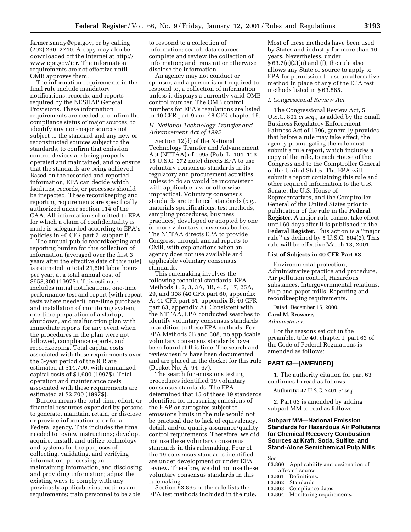farmer.sandy@epa.gov, or by calling (202) 260–2740. A copy may also be downloaded off the Internet at http:// www.epa.gov/icr. The information requirements are not effective until OMB approves them.

The information requirements in the final rule include mandatory notifications, records, and reports required by the NESHAP General Provisions. These information requirements are needed to confirm the compliance status of major sources, to identify any non-major sources not subject to the standard and any new or reconstructed sources subject to the standards, to confirm that emission control devices are being properly operated and maintained, and to ensure that the standards are being achieved. Based on the recorded and reported information, EPA can decide which facilities, records, or processes should be inspected. These recordkeeping and reporting requirements are specifically authorized under section 114 of the CAA. All information submitted to EPA for which a claim of confidentiality is made is safeguarded according to EPA's policies in 40 CFR part 2, subpart B.

The annual public recordkeeping and reporting burden for this collection of information (averaged over the first 3 years after the effective date of this rule) is estimated to total 21,500 labor hours per year, at a total annual cost of \$958,300 (1997\$). This estimate includes initial notifications, one-time performance test and report (with repeat tests where needed), one-time purchase and installation of monitoring system, one-time preparation of a startup, shutdown, and malfunction plan with immediate reports for any event when the procedures in the plan were not followed, compliance reports, and recordkeeping. Total capital costs associated with these requirements over the 3-year period of the ICR are estimated at \$14,700, with annualized capital costs of \$1,600 (1997\$). Total operation and maintenance costs associated with these requirements are estimated at \$2,700 (1997\$).

Burden means the total time, effort, or financial resources expended by persons to generate, maintain, retain, or disclose or provide information to or for a Federal agency. This includes the time needed to review instructions; develop, acquire, install, and utilize technology and systems for the purposes of collecting, validating, and verifying information, processing and maintaining information, and disclosing and providing information; adjust the existing ways to comply with any previously applicable instructions and requirements; train personnel to be able

to respond to a collection of information; search data sources; complete and review the collection of information; and transmit or otherwise disclose the information.

An agency may not conduct or sponsor, and a person is not required to respond to, a collection of information unless it displays a currently valid OMB control number. The OMB control numbers for EPA's regulations are listed in 40 CFR part 9 and 48 CFR chapter 15.

# *H. National Technology Transfer and Advancement Act of 1995*

Section 12(d) of the National Technology Transfer and Advancement Act (NTTAA) of 1995 (Pub. L. 104–113; 15 U.S.C. 272 note) directs EPA to use voluntary consensus standards in its regulatory and procurement activities unless to do so would be inconsistent with applicable law or otherwise impractical. Voluntary consensus standards are technical standards (*e.g.,* materials specifications, test methods, sampling procedures, business practices) developed or adopted by one or more voluntary consensus bodies. The NTTAA directs EPA to provide Congress, through annual reports to OMB, with explanations when an agency does not use available and applicable voluntary consensus standards.

This rulemaking involves the following technical standards: EPA Methods 1, 2, 3, 3A, 3B, 4, 5, 17, 25A, 29, and 308 (40 CFR part 60, appendix A; 40 CFR part 61, appendix B; 40 CFR part 63, appendix A). Consistent with the NTTAA, EPA conducted searches to identify voluntary consensus standards in addition to these EPA methods. For EPA Methods 3B and 308, no applicable voluntary consensus standards have been found at this time. The search and review results have been documented and are placed in the docket for this rule (Docket No. A–94–67).

The search for emissions testing procedures identified 19 voluntary consensus standards. The EPA determined that 15 of these 19 standards identified for measuring emissions of the HAP or surrogates subject to emissions limits in the rule would not be practical due to lack of equivalency, detail, and/or quality assurance/quality control requirements. Therefore, we did not use these voluntary consensus standards in this rulemaking. Four of the 19 consensus standards identified are under development or under EPA review. Therefore, we did not use these voluntary consensus standards in this rulemaking.

Section 63.865 of the rule lists the EPA test methods included in the rule. Most of these methods have been used by States and industry for more than 10 years. Nevertheless, under  $§ 63.7(e)(2)(ii)$  and (f), the rule also allows any State or source to apply to EPA for permission to use an alternative method in place of any of the EPA test methods listed in § 63.865.

#### *I. Congressional Review Act*

The Congressional Review Act, 5 U.S.C. 801 *et seq.*, as added by the Small Business Regulatory Enforcement Fairness Act of 1996, generally provides that before a rule may take effect, the agency promulgating the rule must submit a rule report, which includes a copy of the rule, to each House of the Congress and to the Comptroller General of the United States. The EPA will submit a report containing this rule and other required information to the U.S. Senate, the U.S. House of Representatives, and the Comptroller General of the United States prior to publication of the rule in the **Federal Register**. A major rule cannot take effect until 60 days after it is published in the **Federal Register**. This action is a ''major rule'' as defined by 5 U.S.C. 804(2). This rule will be effective March 13, 2001.

# **List of Subjects in 40 CFR Part 63**

Environmental protection, Administrative practice and procedure, Air pollution control, Hazardous substances, Intergovernmental relations, Pulp and paper mills, Reporting and recordkeeping requirements.

Dated: December 15, 2000.

# **Carol M. Browner,**

*Administrator.*

For the reasons set out in the preamble, title 40, chapter I, part 63 of the Code of Federal Regulations is amended as follows:

#### **PART 63—[AMENDED]**

1. The authority citation for part 63 continues to read as follows:

**Authority:** 42 U.S.C. 7401 *et seq.*

2. Part 63 is amended by adding subpart MM to read as follows:

# **Subpart MM—National Emission Standards for Hazardous Air Pollutants for Chemical Recovery Combustion Sources at Kraft, Soda, Sulfite, and Stand-Alone Semichemical Pulp Mills**

Sec.

- 63.860 Applicability and designation of
- affected source.<br>63.861 Definitions 63.861 Definitions.<br>63.862 Standards.
- 
- 63.862 Standards.<br>63.863 Complianc
- 63.863 Compliance dates.<br>63.864 Monitoring require Monitoring requirements.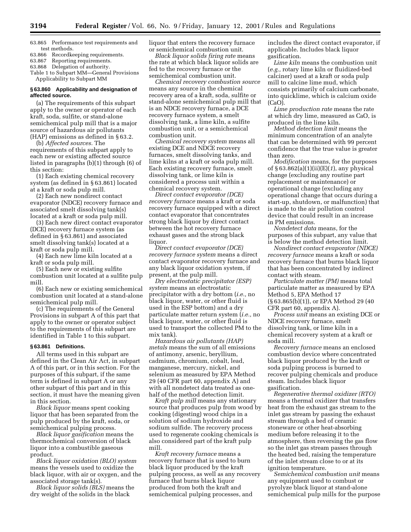63.865 Performance test requirements and test methods.

63.866 Recordkeeping requirements.

63.867 Reporting requirements.

63.868 Delegation of authority.

Table 1 to Subpart MM—General Provisions Applicability to Subpart MM

# **§ 63.860 Applicability and designation of affected source.**

(a) The requirements of this subpart apply to the owner or operator of each kraft, soda, sulfite, or stand-alone semichemical pulp mill that is a major source of hazardous air pollutants (HAP) emissions as defined in § 63.2.

(b) *Affected sources.* The

requirements of this subpart apply to each new or existing affected source listed in paragraphs (b)(1) through (6) of this section:

(1) Each existing chemical recovery system (as defined in § 63.861) located at a kraft or soda pulp mill.

(2) Each new nondirect contact evaporator (NDCE) recovery furnace and associated smelt dissolving tank(s) located at a kraft or soda pulp mill.

(3) Each new direct contact evaporator (DCE) recovery furnace system (as defined in § 63.861) and associated smelt dissolving tank(s) located at a kraft or soda pulp mill.

(4) Each new lime kiln located at a kraft or soda pulp mill.

(5) Each new or existing sulfite combustion unit located at a sulfite pulp mill.

(6) Each new or existing semichemical combustion unit located at a stand-alone semichemical pulp mill.

(c) The requirements of the General Provisions in subpart A of this part that apply to the owner or operator subject to the requirements of this subpart are identified in Table 1 to this subpart.

#### **§ 63.861 Definitions.**

All terms used in this subpart are defined in the Clean Air Act, in subpart A of this part, or in this section. For the purposes of this subpart, if the same term is defined in subpart A or any other subpart of this part and in this section, it must have the meaning given in this section.

*Black liquor* means spent cooking liquor that has been separated from the pulp produced by the kraft, soda, or semichemical pulping process.

*Black liquor gasification* means the thermochemical conversion of black liquor into a combustible gaseous product.

*Black liquor oxidation (BLO) system* means the vessels used to oxidize the black liquor, with air or oxygen, and the associated storage tank(s).

*Black liquor solids (BLS)* means the dry weight of the solids in the black

liquor that enters the recovery furnace or semichemical combustion unit.

*Black liquor solids firing rate* means the rate at which black liquor solids are fed to the recovery furnace or the semichemical combustion unit.

*Chemical recovery combustion source* means any source in the chemical recovery area of a kraft, soda, sulfite or stand-alone semichemical pulp mill that is an NDCE recovery furnace, a DCE recovery furnace system, a smelt dissolving tank, a lime kiln, a sulfite combustion unit, or a semichemical combustion unit.

*Chemical recovery system* means all existing DCE and NDCE recovery furnaces, smelt dissolving tanks, and lime kilns at a kraft or soda pulp mill. Each existing recovery furnace, smelt dissolving tank, or lime kiln is considered a process unit within a chemical recovery system.

*Direct contact evaporator (DCE) recovery furnace* means a kraft or soda recovery furnace equipped with a direct contact evaporator that concentrates strong black liquor by direct contact between the hot recovery furnace exhaust gases and the strong black liquor.

*Direct contact evaporator (DCE) recovery furnace system* means a direct contact evaporator recovery furnace and any black liquor oxidation system, if present, at the pulp mill.

*Dry electrostatic precipitator (ESP) system* means an electrostatic precipitator with a dry bottom (*i.e.,* no black liquor, water, or other fluid is used in the ESP bottom) and a dry particulate matter return system (*i.e.,* no black liquor, water, or other fluid is used to transport the collected PM to the mix tank).

*Hazardous air pollutants (HAP) metals* means the sum of all emissions of antimony, arsenic, beryllium, cadmium, chromium, cobalt, lead, manganese, mercury, nickel, and selenium as measured by EPA Method 29 (40 CFR part 60, appendix A) and with all nondetect data treated as onehalf of the method detection limit.

*Kraft pulp mill* means any stationary source that produces pulp from wood by cooking (digesting) wood chips in a solution of sodium hydroxide and sodium sulfide. The recovery process used to regenerate cooking chemicals is also considered part of the kraft pulp mill.

*Kraft recovery furnace* means a recovery furnace that is used to burn black liquor produced by the kraft pulping process, as well as any recovery furnace that burns black liquor produced from both the kraft and semichemical pulping processes, and

includes the direct contact evaporator, if applicable. Includes black liquor gasification.

*Lime kiln* means the combustion unit (*e.g.,* rotary lime kiln or fluidized-bed calciner) used at a kraft or soda pulp mill to calcine lime mud, which consists primarily of calcium carbonate, into quicklime, which is calcium oxide (CaO).

*Lime production rate* means the rate at which dry lime, measured as CaO, is produced in the lime kiln.

*Method detection limit* means the minimum concentration of an analyte that can be determined with 99 percent confidence that the true value is greater than zero.

*Modification* means, for the purposes of § 63.862(a)(1)(ii)(E)(*1*), any physical change (excluding any routine part replacement or maintenance) or operational change (excluding any operational change that occurs during a start-up, shutdown, or malfunction) that is made to the air pollution control device that could result in an increase in PM emissions.

*Nondetect data* means, for the purposes of this subpart, any value that is below the method detection limit.

*Nondirect contact evaporator (NDCE) recovery furnace* means a kraft or soda recovery furnace that burns black liquor that has been concentrated by indirect contact with steam.

*Particulate matter (PM)* means total particulate matter as measured by EPA Method 5, EPA Method 17 (§ 63.865(b)(1)), or EPA Method 29 (40 CFR part 60, appendix A).

*Process unit* means an existing DCE or NDCE recovery furnace, smelt dissolving tank, or lime kiln in a chemical recovery system at a kraft or soda mill.

*Recovery furnace* means an enclosed combustion device where concentrated black liquor produced by the kraft or soda pulping process is burned to recover pulping chemicals and produce steam. Includes black liquor gasification.

*Regenerative thermal oxidizer (RTO)* means a thermal oxidizer that transfers heat from the exhaust gas stream to the inlet gas stream by passing the exhaust stream through a bed of ceramic stoneware or other heat-absorbing medium before releasing it to the atmosphere, then reversing the gas flow so the inlet gas stream passes through the heated bed, raising the temperature of the inlet stream close to or at its ignition temperature.

*Semichemical combustion unit* means any equipment used to combust or pyrolyze black liquor at stand-alone semichemical pulp mills for the purpose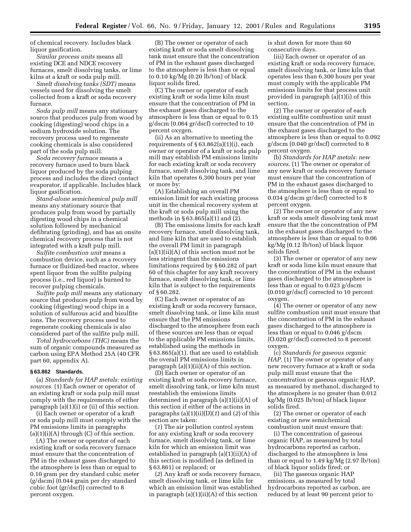of chemical recovery. Includes black liquor gasification.

*Similar process units* means all existing DCE and NDCE recovery furnaces, smelt dissolving tanks, or lime kilns at a kraft or soda pulp mill.

*Smelt dissolving tanks (SDT)* means vessels used for dissolving the smelt collected from a kraft or soda recovery furnace.

*Soda pulp mill* means any stationary source that produces pulp from wood by cooking (digesting) wood chips in a sodium hydroxide solution. The recovery process used to regenerate cooking chemicals is also considered part of the soda pulp mill.

*Soda recovery furnace* means a recovery furnace used to burn black liquor produced by the soda pulping process and includes the direct contact evaporator, if applicable. Includes black liquor gasification.

*Stand-alone semichemical pulp mill* means any stationary source that produces pulp from wood by partially digesting wood chips in a chemical solution followed by mechanical defibrating (grinding), and has an onsite chemical recovery process that is not integrated with a kraft pulp mill.

*Sulfite combustion unit* means a combustion device, such as a recovery furnace or fluidized-bed reactor, where spent liquor from the sulfite pulping process (i.e., red liquor) is burned to recover pulping chemicals.

*Sulfite pulp mill* means any stationary source that produces pulp from wood by cooking (digesting) wood chips in a solution of sulfurous acid and bisulfite ions. The recovery process used to regenerate cooking chemicals is also considered part of the sulfite pulp mill.

*Total hydrocarbons (THC)* means the sum of organic compounds measured as carbon using EPA Method 25A (40 CFR part 60, appendix A).

# **§ 63.862 Standards.**

(a) *Standards for HAP metals: existing sources.* (1) Each owner or operator of an existing kraft or soda pulp mill must comply with the requirements of either paragraph (a)(1)(i) or (ii) of this section.

(i) Each owner or operator of a kraft or soda pulp mill must comply with the PM emissions limits in paragraphs  $(a)(1)(i)(A)$  through  $(C)$  of this section.

(A) The owner or operator of each existing kraft or soda recovery furnace must ensure that the concentration of PM in the exhaust gases discharged to the atmosphere is less than or equal to 0.10 gram per dry standard cubic meter (g/dscm) (0.044 grain per dry standard cubic foot (gr/dscf)) corrected to 8 percent oxygen.

(B) The owner or operator of each existing kraft or soda smelt dissolving tank must ensure that the concentration of PM in the exhaust gases discharged to the atmosphere is less than or equal to 0.10 kg/Mg (0.20 lb/ton) of black liquor solids fired.

(C) The owner or operator of each existing kraft or soda lime kiln must ensure that the concentration of PM in the exhaust gases discharged to the atmosphere is less than or equal to 0.15 g/dscm (0.064 gr/dscf) corrected to 10 percent oxygen.

(ii) As an alternative to meeting the requirements of  $\S 63.862(a)(1)(i)$ , each owner or operator of a kraft or soda pulp mill may establish PM emissions limits for each existing kraft or soda recovery furnace, smelt dissolving tank, and lime kiln that operates 6,300 hours per year or more by:

(A) Establishing an overall PM emission limit for each existing process unit in the chemical recovery system at the kraft or soda pulp mill using the methods in § 63.865(a)(1) and (2).

(B) The emissions limits for each kraft recovery furnace, smelt dissolving tank, and lime kiln that are used to establish the overall PM limit in paragraph  $(a)(1)(ii)(A)$  of this section must not be less stringent than the emissions limitations required by § 60.282 of part 60 of this chapter for any kraft recovery furnace, smelt dissolving tank, or lime kiln that is subject to the requirements of § 60.282.

(C) Each owner or operator of an existing kraft or soda recovery furnace, smelt dissolving tank, or lime kiln must ensure that the PM emissions discharged to the atmosphere from each of these sources are less than or equal to the applicable PM emissions limits, established using the methods in § 63.865(a)(1), that are used to establish the overall PM emissions limits in paragraph (a)(1)(ii)(A) of this section.

(D) Each owner or operator of an existing kraft or soda recovery furnace, smelt dissolving tank, or lime kiln must reestablish the emissions limits determined in paragraph (a)(1)(ii)(A) of this section if either of the actions in paragraphs (a)(1)(ii)(D)(*1*) and (*2*) of this section are taken:

(*1*) The air pollution control system for any existing kraft or soda recovery furnace, smelt dissolving tank, or lime kiln for which an emission limit was established in paragraph (a)(1)(ii)(A) of this section is modified (as defined in § 63.861) or replaced; or

(*2*) Any kraft or soda recovery furnace, smelt dissolving tank, or lime kiln for which an emission limit was established in paragraph (a)(1)(ii)(A) of this section

is shut down for more than 60 consecutive days.

(iii) Each owner or operator of an existing kraft or soda recovery furnace, smelt dissolving tank, or lime kiln that operates less than 6,300 hours per year must comply with the applicable PM emissions limits for that process unit provided in paragraph (a)(1)(i) of this section.

(2) The owner or operator of each existing sulfite combustion unit must ensure that the concentration of PM in the exhaust gases discharged to the atmosphere is less than or equal to 0.092 g/dscm (0.040 gr/dscf) corrected to 8 percent oxygen.

(b) *Standards for HAP metals: new sources.* (1) The owner or operator of any new kraft or soda recovery furnace must ensure that the concentration of PM in the exhaust gases discharged to the atmosphere is less than or equal to 0.034 g/dscm gr/dscf) corrected to 8 percent oxygen.

(2) The owner or operator of any new kraft or soda smelt dissolving tank must ensure that the the concentration of PM in the exhaust gases discharged to the atmosphere is less than or equal to 0.06 kg/Mg (0.12 lb/ton) of black liquor solids fired.

(3) The owner or operator of any new kraft or soda lime kiln must ensure that the concentration of PM in the exhaust gases discharged to the atmosphere is less than or equal to 0.023 g/dscm (0.010 gr/dscf) corrected to 10 percent oxygen.

(4) The owner or operator of any new sulfite combustion unit must ensure that the concentration of PM in the exhaust gases discharged to the atmosphere is less than or equal to 0.046 g/dscm (O.020 gr/dscf) corrected to 8 percent oxygen.

(c) *Standards for gaseous organic HAP.* (1) The owner or operator of any new recovery furnace at a kraft or soda pulp mill must ensure that the concentration or gaseous organic HAP, as meauared by methanol, discharged to the atmosphere is no greater than 0.012 kg/Mg (0.025 lb/ton) of black liquor solids fired.

(2) The owner or operator of each existing or new semichemical combustion unit must ensure that:

(i) The concentration of gaseous organic HAP, as measured by total hydrocarbons reported as carbon, discharged to the atmosphere is less than or equal to 1.49 kg/Mg (2.97 lb/ton) of black liquor solids fired; or

(ii) The gaseous organic HAP emissions, as measured by total hydrocarbons reported as carbon, are reduced by at least 90 percent prior to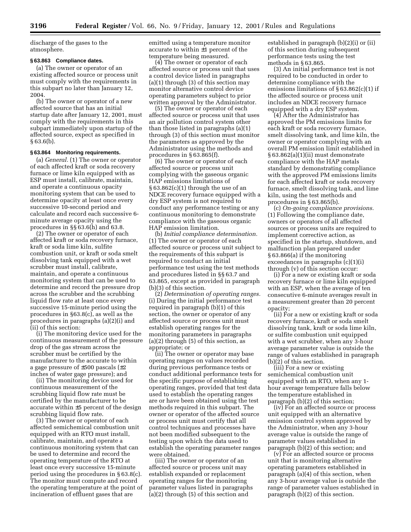discharge of the gases to the atmosphere.

# **§ 63.863 Compliance dates.**

(a) The owner or operator of an existing affected source or process unit must comply with the requirements in this subpart no later than January 12, 2004.

(b) The owner or operator of a new affected source that has an initial startup date after January 12, 2001, must comply with the requirements in this subpart immediately upon startup of the affected source, expect as specified in  $§ 63.6(b).$ 

### **§ 63.864 Monitoring requirements.**

(a) *General.* (1) The owner or operator of each affected kraft or soda recovery furnace or lime kiln equipped with as ESP must install, calibrate, maintain, and operate a continuous opacity monitoring system that can be used to determine opacity at least once every successive 10-second period and calculate and record each successive 6 minute average opacity using the procedures in §§ 63.6(h) and 63.8.

(2) The owner or operator of each affected kraft or soda recovery furnace, kraft or soda lime kiln, sulfite combustion unit, or kraft or soda smelt dissolving tank equipped with a wet scrubber must install, calibrate, maintain, and operate a continuous monitoring system that can be used to determine and record the pressure drop across the scrubber and the scrubbing liquid flow rate at least once every successive 15-minute period using the procedures in §63.8(c), as well as the procedures in paragraphs (a)(2)(i) and (ii) of this section:

(i) The monitoring device used for the continuous measurement of the pressure drop of the gas stream across the scrubber must be certified by the manufacturer to the accurate to within a gage pressure of ±500 pascals (±2 inches of water gage pressure); and

(ii) The monitoring device used for continuous measurement of the scrubbing liquid flow rate must be certified by the manufacturer to be accurate within ±5 percent of the design scrubbing liquid flow rate.

(3) The owner or operator of each affected semichemical combustion unit equipped with an RTO must install, calibrate, maintain, and operate a continuous monitoring system that can be used to determine and record the operating temperature of the RTO at least once every successive 15-minute period using the procedures in § 63.8(c). The monitor must compute and record the operating temperature at the point of incineration of effluent gases that are

emitted using a temperature monitor accurate to within ±1 percent of the temperature being measured.

(4) The owner or operator of each affected source or process unit that uses a control device listed in paragraphs (a)(1) through (3) of this section may monitor alternative control device operating parameters subject to prior written approval by the Administrator.

(5) The owner or operator of each affected source or process unit that uses an air pollution control system other than those listed in paragraphs (a)(1) through (3) of this section must monitor the parameters as approved by the Administrator using the methods and procedures in § 63.865(f).

(6) The owner or operator of each affected source or process unit complying with the gaseous organic HAP emissions limitations of  $§ 63.862(c)(1)$  through the use of an NDCE recovery furnace equipped with a dry ESP system is not required to conduct any performance testing or any continuous monitoring to demonstrate compliance with the gaseous organic HAP emission limitation.

(b) *Initial compliance determination.* (1) The owner or operator of each affected source or process unit subject to the requirements of this subpart is required to conduct an initial performance test using the test methods and procedures listed in §§ 63.7 and 63.865, except as provided in paragraph (b)(3) of this section.

(2) *Determination of operating ranges.* (i) During the initial performance test required in paragraph (b)(1) of this section, the owner or operator of any affected source or process unit must establish operating ranges for the monitoring parameters in paragraphs  $(a)(2)$  through  $(5)$  of this section, as appropriate; or

(ii) The owner or operator may base operating ranges on values recorded during previous performance tests or conduct additional performance tests for the specific purpose of establishing operating ranges, provided that test data used to establish the operating ranges are or have been obtained using the test methods required in this subpart. The owner or operator of the affected source or process unit must certify that all control techniques and processes have not been modified subsequent to the testing upon which the data used to establish the operating parameter ranges were obtained.

(iii) The owner or operator of an affected source or process unit may establish expanded or replacement operating ranges for the monitoring parameter values listed in paragraphs (a)(2) through (5) of this section and

established in paragraph (b)(2)(i) or (ii) of this section during subsequent performance tests using the test methods in § 63.865.

(3) An initial performance test is not required to be conducted in order to determine compliance with the emissions limitations of § 63.862(c)(1) if the affected source or process unit includes an NDCE recovery furnace equipped with a dry ESP system.

(4) After the Administrator has approved the PM emissions limits for each kraft or soda recovery furnace, smelt dissolving tank, and lime kiln, the owner or operator complying with an overall PM emission limit established in § 63.862(a)(1)(ii) must demonstrate compliance with the HAP metals standard by demonstrating compliance with the approved PM emissions limits for each affected kraft or soda recovery furnace, smelt dissolving tank, and lime kiln, using the test methods and procedures in § 63.865(b).

(c) *On-going compliance provisions.* (1) Following the compliance date, owners or operators of all affected sources or process units are required to implement corrective action, as specified in the startup, shutdown, and malfunction plan prepared under § 63.866(a) if the monitoring exceedances in paragraphs (c)(1)(i) through (v) of this section occur:

(i) For a new or existing kraft or soda recovery furnace or lime kiln equipped with an ESP, when the average of ten consecutive 6-minute averages result in a measurement greater than 20 percent opacity;

(ii) For a new or existing kraft or soda recovery furnace, kraft or soda smelt dissolving tank, kraft or soda lime kiln, or sulfite combustion unit equipped with a wet scrubber, when any 3-hour average parameter value is outside the range of values established in paragraph (b)(2) of this section.

(iii) For a new or existing semichemical combustion unit equipped with an RTO, when any 1 hour average temperature falls below the temperature established in paragraph (b)(2) of this section;

(iv) For an affected source or process unit equipped with an alternative emission control system approved by the Administrator, when any 3-hour average value is outside the range of parameter values established in paragraph (b)(2) of this section; and

(v) For an affected source or process unit that is monitoring alternative operating parameters established in paragraph (a)(4) of this section, when any 3-hour average value is outside the range of parameter values established in paragraph (b)(2) of this section.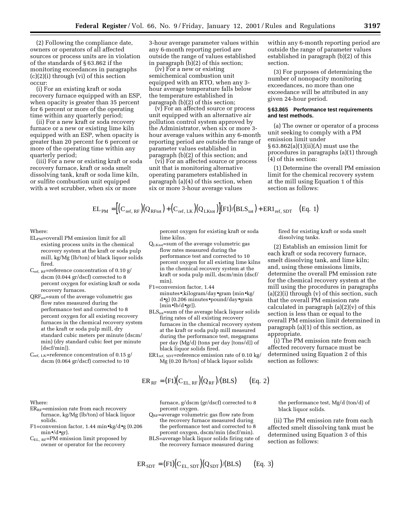(2) Following the compliance date, owners or operators of all affected sources or process units are in violation of the standards of § 63.862 if the monitoring exceedances in paragraphs (c)(2)(i) through (vi) of this section occur:

(i) For an existing kraft or soda recovery furnace equipped with an ESP, when opacity is greater than 35 percent for 6 percent or more of the operating time within any quarterly period;

(ii) For a new kraft or soda recovery furnace or a new or existing lime kiln equipped with an ESP, when opacity is greater than 20 percent for 6 percent or more of the operating time within any quarterly period;

(iii) For a new or existing kraft or soda recovery furnace, kraft or soda smelt dissolving tank, kraft or soda lime kiln, or sulfite combustion unit equipped with a wet scrubber, when six or more

3-hour average parameter values within any 6-month reporting period are outside the range of values established in paragraph (b)(2) of this section;

(iv) For a new or existing semichemical combustion unit equipped with an RTO, when any 3 hour average temperature falls below the temperature established in paragraph (b)(2) of this section;

(v) For an affected source or process unit equipped with an alternative air pollution control system approved by the Administrator, when six or more 3 hour average values within any 6-month reporting period are outside the range of parameter values established in paragraph (b)(2) of this section; and

(vi) For an affected source or process unit that is monitoring alternative operating parameters established in paragraph (a)(4) of this section, when six or more 3-hour average values

within any 6-month reporting period are outside the range of parameter values established in paragraph (b)(2) of this section.

(3) For purposes of determining the number of nonopacity monitoring exceedances, no more than one exceedance will be attributed in any given 24-hour period.

#### **§ 63.865 Performance test requirements and test methods.**

(a) The owner or operator of a process unit seeking to comply with a PM emission limit under § 63.862(a)(1)(ii)(A) must use the procedures in paragraphs (a)(1) through (4) of this section:

(1) Determine the overall PM emission limit for the chemical recovery system at the mill using Equation 1 of this section as follows:

fired for existing kraft or soda smelt

(2) Establish an emission limit for each kraft or soda recovery furnace, smelt dissolving tank, and lime kiln; and, using these emissions limits, determine the overall PM emission rate for the chemical recovery system at the mill using the procedures in paragraphs (a)(2)(i) through (v) of this section, such that the overall PM emission rate calculated in paragraph  $(a)(2)(v)$  of this section is less than or equal to the overall PM emission limit determined in paragraph (a)(1) of this section, as

dissolving tanks.

appropriate.

section as follows:

 $\text{EL}_{\text{PM}} = \left[ \left( \text{C}_{\text{ref. RF}} \right) \left( \text{Q}_{\text{RFtot}} \right) + \left( \text{C}_{\text{ref. LK}} \right) \left( \text{Q}_{\text{LKtot}} \right) \right] \left( \text{F1} \right) / \left( \text{BLS}_{\text{tot}} \right) + \text{ER1}_{\text{ref. SDT}} \quad \text{(Eq. 1)}$ 

# Where:

ELPM=overall PM emission limit for all existing process units in the chemical recovery system at the kraft or soda pulp mill, kg/Mg (lb/ton) of black liquor solids fired.

 $C_{ref. RF}$ =reference concentration of 0.10 g/ dscm (0.044 gr/dscf) corrected to 8 percent oxygen for existing kraft or soda recovery furnaces.

- $QRF_{tot}$ =sum of the average volumetric gas flow rates measured during the performance test and corrected to 8 percent oxygen for all existing recovery furnaces in the chemical recovery system at the kraft or soda pulp mill, dry standard cubic meters per minute (dscm/ min) (dry standard cubic feet per minute [dscf/min]).
- $C_{ref, LK}=$ reference concentration of 0.15 g/ dscm (0.064 gr/dscf) corrected to 10

percent oxygen for existing kraft or soda lime kilns.

- QLKtot=sum of the average volumetric gas flow rates measured during the performance test and corrected to 10 percent oxygen for all existing lime kilns in the chemical recovery system at the kraft or soda pulp mill, dscm/min (dscf/ min).
- F1=conversion factor, 1.44 minutes•;kilogram/day•gram (min•kg/ d•g) (0.206 minutes•pound/day•grain [min•lb/d•gr]).
- $BLS<sub>tot</sub>=sum of the average black liquor solids$ firing rates of all existing recovery furnaces in the chemical recovery system at the kraft or soda pulp mill measured during the performance test, megagrams per day (Mg/d) (tons per day [tons/d]) of black liquor solids fired.
- $ER1_{ref. SDT}$ =reference emission rate of 0.10 kg/ Mg (0.20 lb/ton) of black liquor solids

$$
ER_{RF} = (F1)(C_{EL,RF})(Q_{RF})/(BLS)
$$
 (Eq. 2)

Where:

- $ER_{RF}$ =emission rate from each recovery furnace, kg/Mg (lb/ton) of black liquor solids.
- F1=conversion factor, 1.44 min•kg/d•g (0.206 min•/d•gr).
- CEL, RF=PM emission limit proposed by owner or operator for the recovery

furnace, g/dscm (gr/dscf) corrected to 8 percent oxygen.

- $Q_{RF}$ =average volumetric gas flow rate from the recovery furnace measured during the performance test and corrected to 8 percent oxygen, dscm/min (dscf/min). BLS=average black liquor solids firing rate of
- the recovery furnace measured during

$$
ER_{SDT} = (F1)(C_{EL, SDT})(Q_{SDT})/(BLS) \qquad (Eq. 3)
$$

the performance test, Mg/d (ton/d) of black liquor solids.

(i) The PM emission rate from each affected recovery furnace must be determined using Equation 2 of this

(ii) The PM emission rate from each affected smelt dissolving tank must be determined using Equation 3 of this section as follows: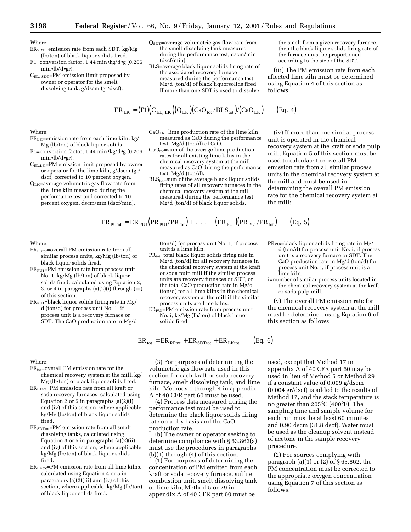Where:

- $ER<sub>SDT</sub>=emission rate from each SDT, kg/Mg$ (lb/ton) of black liquor solids fired.
- F1=conversion factor, 1.44 min•kg/d•g (0.206 min•lb/d•gr).
- CEL, SDT=PM emission limit proposed by owner or operator for the smelt dissolving tank, g/dscm (gr/dscf).
- $Q<sub>SDT</sub>$ =average volumetric gas flow rate from the smelt dissolving tank measured during the performance test, dscm/min (dscf/min).
- BLS=average black liquor solids firing rate of the associated recovery furnace measured during the performance test, Mg/d (ton/d) of black liquorsolids fired. If more than one SDT is used to dissolve

$$
ER_{LK} = (F1)(C_{EL, LK})(Q_{LK})(CaO_{tot}/BLS_{tot})/(CaO_{LK})
$$
 (Eq. 4)

Where:

- $ER_{LK}$ =emission rate from each lime kiln, kg/ Mg (lb/ton) of black liquor solids.
- F1=conversion factor, 1.44 min•kg/d•g (0.206 min•lb/d•gr).
- $C_{EL,LK}$ =PM emission limit proposed by owner or operator for the lime kiln, g/dscm (gr/ dscf) corrected to 10 percent oxygen.

QLK=average volumetric gas flow rate from the lime kiln measured during the performance test and corrected to 10 percent oxygen, dscm/min (dscf/min).

- $CaO<sub>LK</sub>=$ lime production rate of the lime kiln, measured as CaO during the performance test, Mg/d (ton/d) of CaO.
- CaO<sub>tot</sub>=sum of the average lime production rates for all existing lime kilns in the chemical recovery system at the mill measured as CaO during the performance test, Mg/d (ton/d).
- $BLS<sub>tot</sub>=sum of the average black liquor solids$ firing rates of all recovery furnaces in the chemical recovery system at the mill measured during the performance test, Mg/d (ton/d) of black liquor solids.

 $ER_{\text{Pl}tot} = ER_{\text{Pl}11} (PR_{\text{Pl}11}/PR_{\text{tot}}) + ... + (ER_{\text{Pl}11})(PR_{\text{Pl}11}/PR_{\text{tot}})$  (Eq. 5)

Where:

- ERPUtot=overall PM emission rate from all similar process units, kg/Mg (lb/ton) of black liquor solids fired.
- ERPU1=PM emission rate from process unit No. 1, kg/Mg (lb/ton) of black liquor solids fired, calculated using Equation 2, 3, or 4 in paragraphs (a)(2)(i) through (iii) of this section.
- $PR_{PU1}$ =black liquor solids firing rate in Mg/ d (ton/d) for process unit No. 1, if process unit is a recovery furnace or SDT. The CaO production rate in Mg/d

Where:

- $ER_{tot}$ =overall PM emission rate for the chemical recovery system at the mill, kg/ Mg (lb/ton) of black liquor solids fired.
- ERRFtot=PM emission rate from all kraft or soda recovery furnaces, calculated using Equation 2 or 5 in paragraphs (a)(2)(i) and (iv) of this section, where applicable, kg/Mg (lb/ton) of black liquor solids fired.
- ERSDTtot=PM emission rate from all smelt dissolving tanks, calculated using Equation 3 or 5 in paragraphs (a)(2)(ii) and (iv) of this section, where applicable, kg/Mg (lb/ton) of black liquor solids fired.
- $ER<sub>LKtot</sub>=PM$  emission rate from all lime kilns, calculated using Equation 4 or 5 in paragraphs (a)(2)(iii) and (iv) of this section, where applicable, kg/Mg (lb/ton) of black liquor solids fired.

(ton/d) for process unit No. 1, if process unit is a lime kiln.

- PR<sub>tot</sub>=total black liquor solids firing rate in Mg/d (ton/d) for all recovery furnaces in the chemical recovery system at the kraft or soda pulp mill if the similar process units are recovery furnaces or SDT, or the total CaO production rate in Mg/d (ton/d) for all lime kilns in the chemical recovery system at the mill if the similar process units are lime kilns.
- ER<sub>PUi</sub>=PM emission rate from process unit No. i, kg/Mg (lb/ton) of black liquor solids fired.

 $ER_{\text{tot}} = ER_{RFtot} + ER_{SDTtot} + ER_{LKtot}$  (Eq. 6)

(3) For purposes of determining the volumetric gas flow rate used in this section for each kraft or soda recovery furnace, smelt dissolving tank, and lime kiln, Methods 1 through 4 in appendix A of 40 CFR part 60 must be used.

(4) Process data measured during the performance test must be used to determine the black liquor solids firing rate on a dry basis and the CaO production rate.

(b) The owner or operator seeking to determine compliance with § 63.862(a) must use the procedures in paragraphs  $(b)(1)$  through  $(4)$  of this section.

(1) For purposes of determining the concentration of PM emitted from each kraft or soda recovery furnace, sulfite combustion unit, smelt dissolving tank or lime kiln, Method 5 or 29 in appendix A of 40 CFR part 60 must be

the smelt from a given recovery furnace, then the black liquor solids firing rate of the furnace must be proportioned according to the size of the SDT.

(iii) The PM emission rate from each affected lime kiln must be determined using Equation 4 of this section as follows:

(iv) If more than one similar process unit is operated in the chemical recovery system at the kraft or soda pulp mill, Equation 5 of this section must be used to calculate the overall PM emission rate from all similar process units in the chemical recovery system at the mill and must be used in determining the overall PM emission rate for the chemical recovery system at the mill:

- PR<sub>PUi</sub>=black liquor solids firing rate in Mg/ d (ton/d) for process unit No. i, if process unit is a recovery furnace or SDT. The CaO production rate in Mg/d (ton/d) for process unit No. i, if process unit is a lime kiln.
- i=number of similar process units located in the chemical recovery system at the kraft or soda pulp mill.

(v) The overall PM emission rate for the chemical recovery system at the mill must be determined using Equation 6 of this section as follows:

used, except that Method 17 in appendix A of 40 CFR part 60 may be used in lieu of Method 5 or Method 29 if a constant value of 0.009 g/dscm (0.004 gr/dscf) is added to the results of Method 17, and the stack temperature is no greater than 205°C (400°F). The sampling time and sample volume for each run must be at least 60 minutes and 0.90 dscm (31.8 dscf). Water must be used as the cleanup solvent instead of acetone in the sample recovery procedure.

(2) For sources complying with paragraph (a)(1) or (2) of § 63.862, the PM concentration must be corrected to the appropriate oxygen concentration using Equation 7 of this section as follows: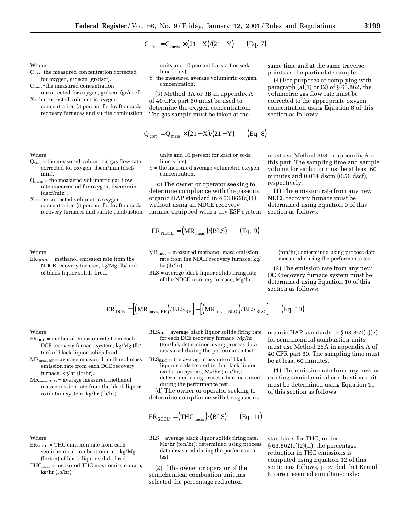$$
C_{\text{corr}} = C_{\text{meas}} \times (21 - X)/(21 - Y)
$$
 (Eq. 7)

Where:

- Ccorr=the measured concentration corrected for oxygen, g/dscm (gr/dscf).
- Cmeas=the measured concentration uncorrected for oxygen, g/dscm (gr/dscf).

X=the corrected volumetric oxygen concentration (8 percent for kraft or soda recovery furnaces and sulfite combustion

Where:

- $Q<sub>corr</sub>$  = the measured volumetric gas flow rate corrected for oxygen, dscm/min (dscf/ min).
- $Q_{\text{meas}}$  = the measured volumetric gas flow rate uncorrected for oxygen, dscm/min (dscf/min).
- $X =$  the corrected volumetric oxygen concentration (8 percent for kraft or soda recovery furnaces and sulfite combustion

Where:

 $ER<sub>NDCE</sub>$  = methanol emission rate from the NDCE recovery furnace, kg/Mg (lb/ton) of black liquor solids fired.

units and 10 percent for kraft or soda lime kilns).

Y=the measured average volumetric oxygen concentration.

(3) Method 3A or 3B in appendix A of 40 CFR part 60 must be used to determine the oxygen concentration. The gas sample must be taken at the

$$
Q_{corr} = Q_{meas} \times (21 - X)/(21 - Y) \qquad (Eq. 8)
$$

units and 10 percent for kraft or soda lime kilns).

Y = the measured average volumetric oxygen concentration.

(c) The owner or operator seeking to determine compliance with the gaseous organic HAP standard in § 63.862(c)(1) without using an NDCE recovery furnace equipped with a dry ESP system

$$
ERNDCE = (MRmeas)/(BLS) \t(Eq. 9)
$$

- MRmeas = measured methanol mass emission rate from the NDCE recovery furnace, kg/ hr (lb/hr).
- BLS = average black liquor solids firing rate of the NDCE recovery furnace, Mg/hr

$$
ER_{DCE} = [(MR_{meas, RF})/BLS_{RF}] + [(MR_{meas, BLO})/BLS_{BLO}]
$$
 (Eq. 10)

Where:

- $ER_{DCE}$  = methanol emission rate from each DCE recovery furnace system, kg/Mg (lb/ ton) of black liquor solids fired.
- $MR_{\text{meas,RF}} = average measured method$  methanol mass emission rate from each DCE recovery furnace, kg/hr (lb/hr).
- $MR_{\text{meas,BLO}} = \text{average measured method}$ mass emission rate from the black liquor oxidation system, kg/hr (lb/hr).

Where:

- $ER_{SCCU}$  = THC emission rate from each semichemical combustion unit, kg/Mg (lb/ton) of black liquor solids fired.
- $THC_{\rm meas}$  = measured THC mass emission rate, kg/hr (lb/hr).
- $BLS_{RF}$  = average black liquor solids firing rate for each DCE recovery furnace, Mg/hr (ton/hr); determined using process data measured during the performance test.
- $BLS_{BLO}$  = the average mass rate of black liquor solids treated in the black liquor oxidation system, Mg/hr (ton/hr); determined using process data measured during the performance test.

(d) The owner or operator seeking to determine compliance with the gaseous

$$
ER_{SCCU} = (THC_{meas})/(BLS) \qquad (Eq. 11)
$$

BLS = average black liquor solids firing rate, Mg/hr (ton/hr); determined using process data measured during the performance test.

(2) If the owner or operator of the semichemical combustion unit has selected the percentage reduction

organic HAP standards in § 63.862(c)(2) for semichemical combustion units must use Method 25A in appendix A of 40 CFR part 60. The sampling time must be at least 60 minutes.

(1) The emission rate from any new or existing semichemical combustion unit must be determined using Equation 11 of this section as follows:

must use Method 308 in appendix A of this part. The sampling time and sample volume for each run must be at least 60 minutes and 0.014 dscm (0.50 dscf), respectively.

same time and at the same traverse points as the particulate sample. (4) For purposes of complying with paragraph (a)(1) or (2) of § 63.862, the volumetric gas flow rate must be corrected to the appropriate oxygen concentration using Equation 8 of this

section as follows:

(1) The emission rate from any new NDCE recovery furnace must be determined using Equation 9 of this section as follows:

> (ton/hr); determined using process data measured during the performance test.

(2) The emission rate from any new DCE recovery furnace system must be determined using Equation 10 of this section as follows:

standards for THC, under  $§ 63.862(c)(2)(ii)$ , the percentage reduction in THC emissions is computed using Equation 12 of this section as follows, provided that Ei and Eo are measured simultaneously: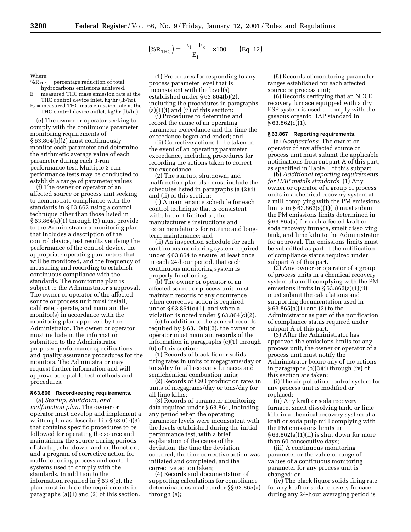$$
(\% \mathbf{R}_{\text{THC}}) = \left(\frac{\mathbf{E}_{\text{i}} - \mathbf{E}_{\text{o}}}{\mathbf{E}_{\text{i}}}\right) \times 100 \qquad \text{(Eq. 12)}
$$

Where:

- $\% {\rm R}_{\rm THC}$  = percentage reduction of total hydrocarbons emissions achieved.
- $E_i$  = measured THC mass emission rate at the
- THC control device inlet, kg/hr (lb/hr).  $E<sub>o</sub>$  = measured THC mass emission rate at the
- THC control device outlet, kg/hr (lb/hr).

(e) The owner or operator seeking to comply with the continuous parameter monitoring requirements of § 63.864(b)(2) must continuously monitor each parameter and determine the arithmetic average value of each parameter during each 3-run performance test. Multiple 3-run performance tests may be conducted to establish a range of parameter values.

(f) The owner or operator of an affected source or process unit seeking to demonstrate compliance with the standards in § 63.862 using a control technique other than those listed in § 63.864(a)(1) through (3) must provide to the Administrator a monitoring plan that includes a description of the control device, test results verifying the performance of the control device, the appropriate operating parameters that will be monitored, and the frequency of measuring and recording to establish continuous compliance with the standards. The monitoring plan is subject to the Administrator's approval. The owner or operator of the affected source or process unit must install, calibrate, operate, and maintain the monitor(s) in accordance with the monitoring plan approved by the Administrator. The owner or operator must include in the information submitted to the Administrator proposed performance specifications and quality assurance procedures for the monitors. The Administrator may request further information and will approve acceptable test methods and procedures.

#### **§ 63.866 Recordkeeping requirements.**

(a) *Startup, shutdown, and malfunction plan.* The owner or operator must develop and implement a written plan as described in § 63.6(e)(3) that contains specific procedures to be followed for operating the source and maintaining the source during periods of startup, shutdown, and malfunction, and a program of corrective action for malfunctioning process and control systems used to comply with the standards. In addition to the information required in § 63.6(e), the plan must include the requirements in paragraphs (a)(1) and (2) of this section.

(1) Procedures for responding to any process parameter level that is inconsistent with the level(s) established under § 63.864(b)(2), including the procedures in paragraphs  $(a)(1)(i)$  and  $(ii)$  of this section:

(i) Procedures to determine and record the cause of an operating parameter exceedance and the time the exceedance began and ended; and

(ii) Corrective actions to be taken in the event of an operating parameter exceedance, including procedures for recording the actions taken to correct the exceedance.

(2) The startup, shutdown, and malfunction plan also must include the schedules listed in paragraphs (a)(2)(i) and (ii) of this section:

(i) A maintenance schedule for each control technique that is consistent with, but not limited to, the manufacturer's instructions and recommendations for routine and longterm maintenance; and

(ii) An inspection schedule for each continuous monitoring system required under § 63.864 to ensure, at least once in each 24-hour period, that each continuous monitoring system is properly functioning.

(b) The owner or operator of an affected source or process unit must maintain records of any occurrence when corrective action is required under § 63.864(c)(1), and when a violation is noted under § 63.864(c)(2).

(c) In addition to the general records required by § 63.10(b)(2), the owner or operator must maintain records of the information in paragraphs (c)(1) through (6) of this section:

(1) Records of black liquor solids firing rates in units of megagrams/day or tons/day for all recovery furnaces and semichemical combustion units;

(2) Records of CaO production rates in units of megagrams/day or tons/day for all lime kilns;

(3) Records of parameter monitoring data required under § 63.864, including any period when the operating parameter levels were inconsistent with the levels established during the initial performance test, with a brief explanation of the cause of the deviation, the time the deviation occurred, the time corrective action was initiated and completed, and the corrective action taken;

(4) Records and documentation of supporting calculations for compliance determinations made under §§ 63.865(a) through (e);

(5) Records of monitoring parameter ranges established for each affected source or process unit;

(6) Records certifying that an NDCE recovery furnace equipped with a dry ESP system is used to comply with the gaseous organic HAP standard in  $§ 63.862(c)(1).$ 

#### **§ 63.867 Reporting requirements.**

(a) *Notifications.* The owner or operator of any affected source or process unit must submit the applicable notifications from subpart A of this part, as specified in Table 1 of this subpart.

(b) *Additional reporting requirements for HAP metals standards.* (1) Any owner or operator of a group of process units in a chemical recovery system at a mill complying with the PM emissions limits in  $\S 63.862(a)(1)(ii)$  must submit the PM emissions limits determined in § 63.865(a) for each affected kraft or soda recovery furnace, smelt dissolving tank, and lime kiln to the Administrator for approval. The emissions limits must be submitted as part of the notification of compliance status required under subpart A of this part.

(2) Any owner or operator of a group of process units in a chemical recovery system at a mill complying with the PM emissions limits in § 63.862(a)(1)(ii) must submit the calculations and supporting documentation used in § 63.865(a)(1) and (2) to the Administrator as part of the notification of compliance status required under subpart A of this part.

(3) After the Administrator has approved the emissions limits for any process unit, the owner or operator of a process unit must notify the Administrator before any of the actions in paragraphs (b)(3)(i) through (iv) of this section are taken:

(i) The air pollution control system for any process unit is modified or replaced;

(ii) Any kraft or soda recovery furnace, smelt dissolving tank, or lime kiln in a chemical recovery system at a kraft or soda pulp mill complying with the PM emissions limits in  $§ 63.862(a)(1)(ii)$  is shut down for more than 60 consecutive days;

(iii) A continuous monitoring parameter or the value or range of values of a continuous monitoring parameter for any process unit is changed; or

(iv) The black liquor solids firing rate for any kraft or soda recovery furnace during any 24-hour averaging period is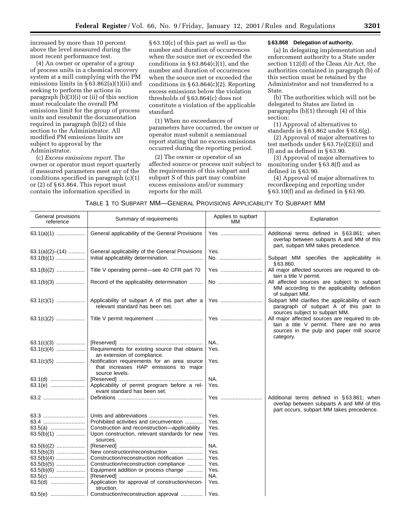increased by more than 10 percent above the level measured during the most recent performance test.

(4) An owner or operator of a group of process units in a chemical recovery system at a mill complying with the PM emissions limits in § 63.862(a)(1)(ii) and seeking to perform the actions in paragraph (b)(3)(i) or (ii) of this section must recalculate the overall PM emissions limit for the group of process units and resubmit the documentation required in paragraph (b)(2) of this section to the Administrator. All modified PM emissions limits are subject to approval by the Administrator.

(c) *Excess emissions report.* The owner or operator must report quarterly if measured parameters meet any of the conditions specified in paragraph (c)(1) or (2) of § 63.864. This report must contain the information specified in

§ 63.10(c) of this part as well as the number and duration of occurrences when the source met or exceeded the conditions in  $§ 63.864(c)(1)$ , and the number and duration of occurrences when the source met or exceeded the conditions in § 63.864(c)(2). Reporting excess emissions below the violation thresholds of § 63.864(c) does not constitute a violation of the applicable standard.

(1) When no exceedances of parameters have occurred, the owner or operator must submit a semiannual report stating that no excess emissions occurred during the reporting period.

(2) The owner or operator of an affected source or process unit subject to the requirements of this subpart and subpart S of this part may combine excess emissions and/or summary reports for the mill.

# **§ 63.868 Delegation of authority.**

(a) In delegating implementation and enforcement authority to a State under section 112(d) of the Clean Air Act, the authorities contained in paragraph (b) of this section must be retained by the Administrator and not transferred to a State.

(b) The authorities which will not be delegated to States are listed in paragraphs (b)(1) through (4) of this section:

(1) Approval of alternatives to standards in § 63.862 under § 63.6(g).

(2) Approval of major alternatives to test methods under § 63.7(e)(2)(ii) and (f) and as defined in § 63.90.

(3) Approval of major alternatives to monitoring under § 63.8(f) and as defined in § 63.90.

(4) Approval of major alternatives to recordkeeping and reporting under § 63.10(f) and as defined in § 63.90.

| General provisions<br>reference | Summary of requirements                                                                                 | Applies to supbart<br>MM. | Explanation                                                                                                                                          |
|---------------------------------|---------------------------------------------------------------------------------------------------------|---------------------------|------------------------------------------------------------------------------------------------------------------------------------------------------|
| $63.1(a)(1)$                    | General applicability of the General Provisions                                                         | Yes                       | Additional terms defined in §63.861; when<br>overlap between subparts A and MM of this<br>part, subpart MM takes precedence.                         |
| $63.1(a)(2)–(14)$               | General applicability of the General Provisions                                                         | Yes.                      |                                                                                                                                                      |
| $63.1(b)(1)$                    | Initial applicability determination.                                                                    | No.                       | Subpart MM specifies the applicability in<br>§63.860.                                                                                                |
| $63.1(b)(2)$                    | Title V operating permit-see 40 CFR part 70                                                             | Yes                       | All major affected sources are required to ob-<br>tain a title V permit.                                                                             |
| $63.1(b)(3)$                    | Record of the applicability determination                                                               | No                        | All affected sources are subject to subpart<br>MM according to the applicability definition<br>of subpart MM.                                        |
| $63.1(c)(1)$                    | Applicability of subpart A of this part after a<br>relevant standard has been set.                      | Yes                       | Subpart MM clarifies the applicability of each<br>paragraph of subpart A of this part to<br>sources subject to subpart MM.                           |
| $63.1(c)(2)$                    |                                                                                                         | Yes                       | All major affected sources are required to ob-<br>tain a title V permit. There are no area<br>sources in the pulp and paper mill source<br>category. |
| $63.1(c)(3)$                    |                                                                                                         | <b>NA</b>                 |                                                                                                                                                      |
| $63.1(c)(4)$                    | Requirements for existing source that obtains<br>an extension of compliance.                            | Yes.                      |                                                                                                                                                      |
| $63.1(c)(5)$                    | Notification requirements for an area source<br>that increases HAP emissions to major<br>source levels. | Yes.                      |                                                                                                                                                      |
| 63.1(d)                         |                                                                                                         | NA.                       |                                                                                                                                                      |
| 63.1(e)                         | Applicability of permit program before a rel-<br>evant standard has been set.                           | Yes.                      |                                                                                                                                                      |
| 63.2                            |                                                                                                         | Yes                       | Additional terms defined in §63.861; when<br>overlap between subparts A and MM of this<br>part occurs, subpart MM takes precedence.                  |
| 63.3                            |                                                                                                         | Yes.                      |                                                                                                                                                      |
| 63.4                            | Prohibited activities and circumvention                                                                 | Yes.                      |                                                                                                                                                      |
|                                 | Construction and reconstruction-applicability                                                           | Yes.                      |                                                                                                                                                      |
| $63.5(b)(1)$                    | Upon construction, relevant standards for new<br>sources.                                               | Yes.                      |                                                                                                                                                      |
| $63.5(b)(2)$                    |                                                                                                         | NA.                       |                                                                                                                                                      |
| $63.5(b)(3)$                    | New construction/reconstruction                                                                         | Yes.                      |                                                                                                                                                      |
| $63.5(b)(4)$                    | Construction/reconstruction notification                                                                | Yes.                      |                                                                                                                                                      |
| $63.5(b)(5)$                    | Construction/reconstruction compliance                                                                  | Yes.                      |                                                                                                                                                      |
| $63.5(b)(6)$                    | Equipment addition or process change                                                                    | Yes.                      |                                                                                                                                                      |
| 63.5(c)                         |                                                                                                         | NA.                       |                                                                                                                                                      |
| 63.5(d)                         | Application for approval of construction/recon-<br>struction.                                           | Yes.                      |                                                                                                                                                      |
|                                 | Construction/reconstruction approval    Yes.                                                            |                           |                                                                                                                                                      |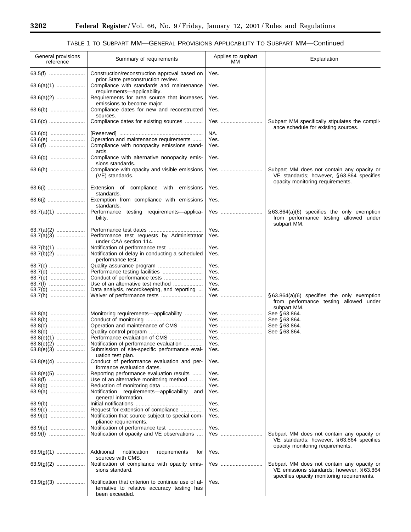٠

# TABLE 1 TO SUBPART MM—GENERAL PROVISIONS APPLICABILITY TO SUBPART MM—Continued

| General provisions<br>reference | Summary of requirements                                                                                            | Applies to supbart<br>MМ | Explanation                                                                                                                |
|---------------------------------|--------------------------------------------------------------------------------------------------------------------|--------------------------|----------------------------------------------------------------------------------------------------------------------------|
| 63.5(f)                         | Construction/reconstruction approval based on<br>prior State preconstruction review.                               | Yes.                     |                                                                                                                            |
|                                 | Compliance with standards and maintenance<br>requirements-applicability.                                           | Yes.                     |                                                                                                                            |
| $63.6(a)(2)$                    | Requirements for area source that increases<br>emissions to become major.                                          | Yes.                     |                                                                                                                            |
| 63.6(b)                         | Compliance dates for new and reconstructed<br>sources.                                                             | Yes.                     |                                                                                                                            |
| 63.6(c)                         | Compliance dates for existing sources                                                                              | Yes                      | Subpart MM specifically stipulates the compli-<br>ance schedule for existing sources.                                      |
| 63.6(d)                         |                                                                                                                    | NA.                      |                                                                                                                            |
| 63.6(e)                         | Operation and maintenance requirements                                                                             | Yes.                     |                                                                                                                            |
| 63.6(f)                         | Compliance with nonopacity emissions stand-<br>ards.                                                               | Yes.                     |                                                                                                                            |
| 63.6(g)                         | Compliance with alternative nonopacity emis-<br>sions standards.                                                   | Yes.                     |                                                                                                                            |
| 63.6(h)                         | Compliance with opacity and visible emissions<br>(VE) standards.                                                   | Yes                      | Subpart MM does not contain any opacity or<br>VE standards; however, §63.864 specifies<br>opacity monitoring requirements. |
|                                 | Extension of compliance with emissions<br>standards.                                                               | Yes.                     |                                                                                                                            |
|                                 | Exemption from compliance with emissions                                                                           | Yes.                     |                                                                                                                            |
| $63.7(a)(1)$                    | standards.<br>Performance testing requirements-applica-<br>bility.                                                 | Yes                      | $\S$ 63.864(a)(6) specifies the only exemption<br>from performance testing allowed under<br>subpart MM.                    |
| $63.7(a)(2)$                    |                                                                                                                    | Yes.                     |                                                                                                                            |
| $63.7(a)(3)$                    | Performance test requests by Administrator<br>under CAA section 114.                                               | Yes.                     |                                                                                                                            |
| $63.7(b)(1)$                    | Notification of performance test                                                                                   | Yes.                     |                                                                                                                            |
| $63.7(b)(2)$                    | Notification of delay in conducting a scheduled<br>performance test.                                               | Yes.                     |                                                                                                                            |
| 63.7(c)                         |                                                                                                                    | Yes.                     |                                                                                                                            |
| 63.7(d)                         |                                                                                                                    | Yes.                     |                                                                                                                            |
| 63.7(e)                         |                                                                                                                    | Yes.                     |                                                                                                                            |
|                                 | Use of an alternative test method                                                                                  | Yes.                     |                                                                                                                            |
|                                 | Data analysis, recordkeeping, and reporting                                                                        | Yes.                     |                                                                                                                            |
| 63.7(h)                         |                                                                                                                    | Yes                      | $\S 63.864(a)(6)$ specifies the only exemption                                                                             |
|                                 |                                                                                                                    |                          | from performance testing allowed under<br>subpart MM.                                                                      |
|                                 | Monitoring requirements—applicability                                                                              | Yes                      | See §63.864.                                                                                                               |
| 63.8(b)                         |                                                                                                                    | Yes                      | See §63.864.                                                                                                               |
| 63.8(c)                         | Operation and maintenance of CMS                                                                                   | Yes                      | See §63.864.                                                                                                               |
| 63.8(d)                         |                                                                                                                    | Yes                      | See §63.864.                                                                                                               |
| 63.8(e)(1)                      |                                                                                                                    | Yes.                     |                                                                                                                            |
| 63.8(e)(2)                      | Notification of performance evaluation                                                                             | Yes.                     |                                                                                                                            |
| 63.8(e)(3)                      | Submission of site-specific performance eval-<br>uation test plan.                                                 | Yes.                     |                                                                                                                            |
| $63.8(e)(4)$                    | Conduct of performance evaluation and per-<br>formance evaluation dates.                                           | Yes.                     |                                                                                                                            |
|                                 | Reporting performance evaluation results                                                                           | Yes.                     |                                                                                                                            |
|                                 | Use of an alternative monitoring method                                                                            | Yes.                     |                                                                                                                            |
| 63.8(g)                         |                                                                                                                    | Yes.                     |                                                                                                                            |
| 63.9(a)                         | Notification requirements-applicability and<br>general information.                                                | Yes.                     |                                                                                                                            |
| 63.9(b)                         |                                                                                                                    | Yes.                     |                                                                                                                            |
| 63.9(c)                         | Request for extension of compliance                                                                                | Yes.                     |                                                                                                                            |
| 63.9(d)                         | Notification that source subject to special com-<br>pliance requirements.                                          | Yes.                     |                                                                                                                            |
| 63.9(e)                         | Notification of performance test                                                                                   | Yes.                     |                                                                                                                            |
| 63.9(f)                         | Notification of opacity and VE observations                                                                        | Yes                      | Subpart MM does not contain any opacity or<br>VE standards; however, §63.864 specifies<br>opacity monitoring requirements. |
|                                 | Additional<br>notification<br>requirements<br>for<br>sources with CMS.                                             | Yes.                     |                                                                                                                            |
|                                 | Notification of compliance with opacity emis-<br>sions standard.                                                   | Yes                      | Subpart MM does not contain any opacity or<br>VE emissions standards; however, §63.864                                     |
|                                 |                                                                                                                    |                          | specifies opacity monitoring requirements.                                                                                 |
| $63.9(g)(3)$                    | Notification that criterion to continue use of al-<br>ternative to relative accuracy testing has<br>been exceeded. | Yes.                     |                                                                                                                            |

-